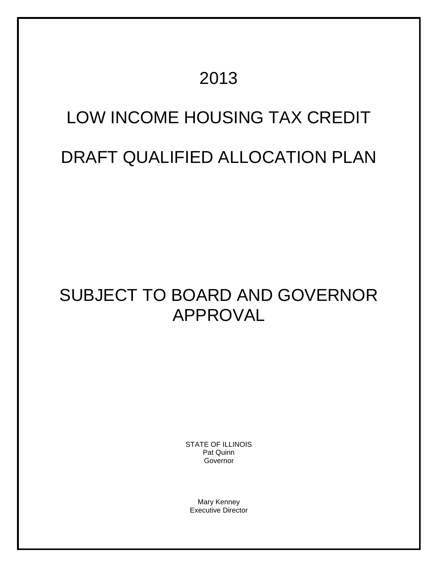# 2013

# LOW INCOME HOUSING TAX CREDIT

# DRAFT QUALIFIED ALLOCATION PLAN

# SUBJECT TO BOARD AND GOVERNOR APPROVAL

STATE OF ILLINOIS Pat Quinn Governor

Mary Kenney Executive Director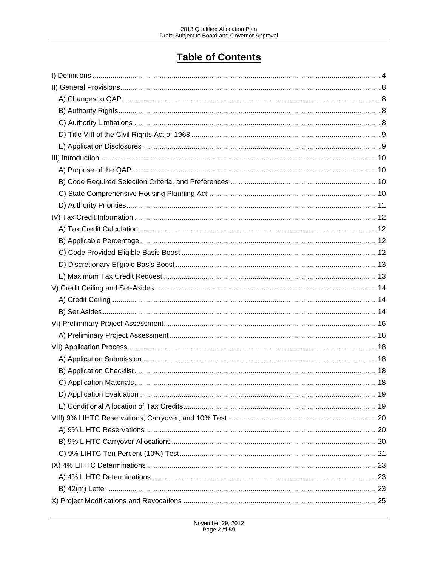# **Table of Contents**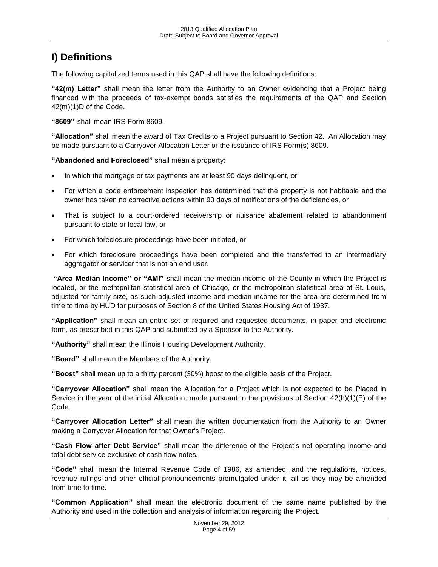# <span id="page-3-0"></span>**I) Definitions**

The following capitalized terms used in this QAP shall have the following definitions:

**"42(m) Letter"** shall mean the letter from the Authority to an Owner evidencing that a Project being financed with the proceeds of tax-exempt bonds satisfies the requirements of the QAP and Section 42(m)(1)D of the Code.

**"8609"** shall mean IRS Form 8609.

**"Allocation"** shall mean the award of Tax Credits to a Project pursuant to Section 42. An Allocation may be made pursuant to a Carryover Allocation Letter or the issuance of IRS Form(s) 8609.

**"Abandoned and Foreclosed"** shall mean a property:

- In which the mortgage or tax payments are at least 90 days delinquent, or
- For which a code enforcement inspection has determined that the property is not habitable and the owner has taken no corrective actions within 90 days of notifications of the deficiencies, or
- That is subject to a court-ordered receivership or nuisance abatement related to abandonment pursuant to state or local law, or
- For which foreclosure proceedings have been initiated, or
- For which foreclosure proceedings have been completed and title transferred to an intermediary aggregator or servicer that is not an end user.

**"Area Median Income" or "AMI"** shall mean the median income of the County in which the Project is located, or the metropolitan statistical area of Chicago, or the metropolitan statistical area of St. Louis, adjusted for family size, as such adjusted income and median income for the area are determined from time to time by HUD for purposes of Section 8 of the United States Housing Act of 1937.

**"Application"** shall mean an entire set of required and requested documents, in paper and electronic form, as prescribed in this QAP and submitted by a Sponsor to the Authority.

**"Authority"** shall mean the Illinois Housing Development Authority.

**"Board"** shall mean the Members of the Authority.

**"Boost"** shall mean up to a thirty percent (30%) boost to the eligible basis of the Project.

**"Carryover Allocation"** shall mean the Allocation for a Project which is not expected to be Placed in Service in the year of the initial Allocation, made pursuant to the provisions of Section 42(h)(1)(E) of the Code.

**"Carryover Allocation Letter"** shall mean the written documentation from the Authority to an Owner making a Carryover Allocation for that Owner's Project.

**"Cash Flow after Debt Service"** shall mean the difference of the Project's net operating income and total debt service exclusive of cash flow notes.

**"Code"** shall mean the Internal Revenue Code of 1986, as amended, and the regulations, notices, revenue rulings and other official pronouncements promulgated under it, all as they may be amended from time to time.

**"Common Application"** shall mean the electronic document of the same name published by the Authority and used in the collection and analysis of information regarding the Project.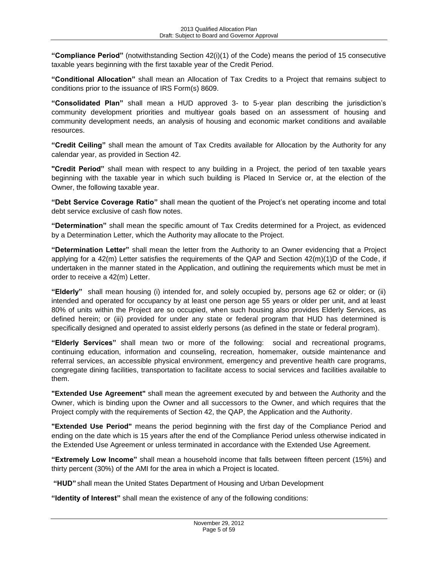**"Compliance Period"** (notwithstanding Section 42(i)(1) of the Code) means the period of 15 consecutive taxable years beginning with the first taxable year of the Credit Period.

**"Conditional Allocation"** shall mean an Allocation of Tax Credits to a Project that remains subject to conditions prior to the issuance of IRS Form(s) 8609.

**"Consolidated Plan"** shall mean a HUD approved 3- to 5-year plan describing the jurisdiction's community development priorities and multiyear goals based on an assessment of housing and community development needs, an analysis of housing and economic market conditions and available resources.

**"Credit Ceiling"** shall mean the amount of Tax Credits available for Allocation by the Authority for any calendar year, as provided in Section 42.

**"Credit Period"** shall mean with respect to any building in a Project, the period of ten taxable years beginning with the taxable year in which such building is Placed In Service or, at the election of the Owner, the following taxable year.

**"Debt Service Coverage Ratio"** shall mean the quotient of the Project's net operating income and total debt service exclusive of cash flow notes.

**"Determination"** shall mean the specific amount of Tax Credits determined for a Project, as evidenced by a Determination Letter, which the Authority may allocate to the Project.

**"Determination Letter"** shall mean the letter from the Authority to an Owner evidencing that a Project applying for a 42(m) Letter satisfies the requirements of the QAP and Section 42(m)(1)D of the Code, if undertaken in the manner stated in the Application, and outlining the requirements which must be met in order to receive a 42(m) Letter.

**"Elderly"** shall mean housing (i) intended for, and solely occupied by, persons age 62 or older; or (ii) intended and operated for occupancy by at least one person age 55 years or older per unit, and at least 80% of units within the Project are so occupied, when such housing also provides Elderly Services, as defined herein; or (iii) provided for under any state or federal program that HUD has determined is specifically designed and operated to assist elderly persons (as defined in the state or federal program).

**"Elderly Services"** shall mean two or more of the following: social and recreational programs, continuing education, information and counseling, recreation, homemaker, outside maintenance and referral services, an accessible physical environment, emergency and preventive health care programs, congregate dining facilities, transportation to facilitate access to social services and facilities available to them.

**"Extended Use Agreement"** shall mean the agreement executed by and between the Authority and the Owner, which is binding upon the Owner and all successors to the Owner, and which requires that the Project comply with the requirements of Section 42, the QAP, the Application and the Authority.

**"Extended Use Period"** means the period beginning with the first day of the Compliance Period and ending on the date which is 15 years after the end of the Compliance Period unless otherwise indicated in the Extended Use Agreement or unless terminated in accordance with the Extended Use Agreement.

**"Extremely Low Income"** shall mean a household income that falls between fifteen percent (15%) and thirty percent (30%) of the AMI for the area in which a Project is located.

**"HUD"** shall mean the United States Department of Housing and Urban Development

**"Identity of Interest"** shall mean the existence of any of the following conditions: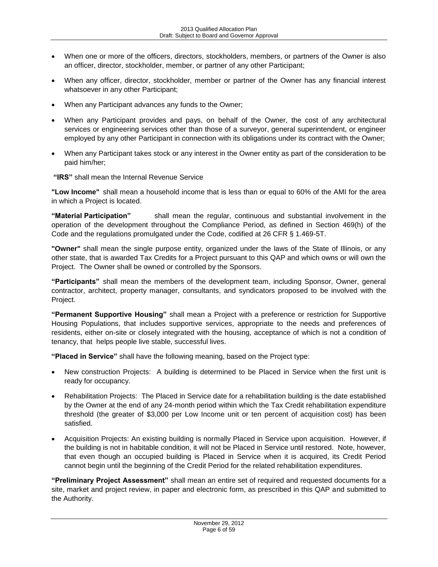- When one or more of the officers, directors, stockholders, members, or partners of the Owner is also an officer, director, stockholder, member, or partner of any other Participant;
- When any officer, director, stockholder, member or partner of the Owner has any financial interest whatsoever in any other Participant;
- When any Participant advances any funds to the Owner;
- When any Participant provides and pays, on behalf of the Owner, the cost of any architectural services or engineering services other than those of a surveyor, general superintendent, or engineer employed by any other Participant in connection with its obligations under its contract with the Owner;
- When any Participant takes stock or any interest in the Owner entity as part of the consideration to be paid him/her;
- **"IRS"** shall mean the Internal Revenue Service

**"Low Income"** shall mean a household income that is less than or equal to 60% of the AMI for the area in which a Project is located.

**"Material Participation"** shall mean the regular, continuous and substantial involvement in the operation of the development throughout the Compliance Period, as defined in Section 469(h) of the Code and the regulations promulgated under the Code, codified at 26 CFR § 1.469-5T.

**"Owner"** shall mean the single purpose entity, organized under the laws of the State of Illinois, or any other state, that is awarded Tax Credits for a Project pursuant to this QAP and which owns or will own the Project. The Owner shall be owned or controlled by the Sponsors.

**"Participants"** shall mean the members of the development team, including Sponsor, Owner, general contractor, architect, property manager, consultants, and syndicators proposed to be involved with the Project.

**"Permanent Supportive Housing"** shall mean a Project with a preference or restriction for Supportive Housing Populations, that includes supportive services, appropriate to the needs and preferences of residents, either on-site or closely integrated with the housing, acceptance of which is not a condition of tenancy, that helps people live stable, successful lives.

**"Placed in Service"** shall have the following meaning, based on the Project type:

- New construction Projects: A building is determined to be Placed in Service when the first unit is ready for occupancy.
- Rehabilitation Projects: The Placed in Service date for a rehabilitation building is the date established by the Owner at the end of any 24-month period within which the Tax Credit rehabilitation expenditure threshold (the greater of \$3,000 per Low Income unit or ten percent of acquisition cost) has been satisfied.
- Acquisition Projects: An existing building is normally Placed in Service upon acquisition. However, if the building is not in habitable condition, it will not be Placed in Service until restored. Note, however, that even though an occupied building is Placed in Service when it is acquired, its Credit Period cannot begin until the beginning of the Credit Period for the related rehabilitation expenditures.

**"Preliminary Project Assessment"** shall mean an entire set of required and requested documents for a site, market and project review, in paper and electronic form, as prescribed in this QAP and submitted to the Authority.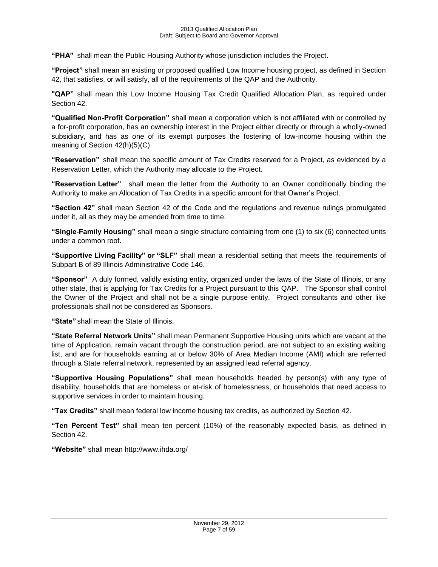**"PHA"** shall mean the Public Housing Authority whose jurisdiction includes the Project.

**"Project"** shall mean an existing or proposed qualified Low Income housing project, as defined in Section 42, that satisfies, or will satisfy, all of the requirements of the QAP and the Authority.

**"QAP"** shall mean this Low Income Housing Tax Credit Qualified Allocation Plan, as required under Section 42.

**"Qualified Non-Profit Corporation"** shall mean a corporation which is not affiliated with or controlled by a for-profit corporation, has an ownership interest in the Project either directly or through a wholly-owned subsidiary, and has as one of its exempt purposes the fostering of low-income housing within the meaning of Section 42(h)(5)(C)

**"Reservation"** shall mean the specific amount of Tax Credits reserved for a Project, as evidenced by a Reservation Letter, which the Authority may allocate to the Project.

**"Reservation Letter"** shall mean the letter from the Authority to an Owner conditionally binding the Authority to make an Allocation of Tax Credits in a specific amount for that Owner's Project.

**"Section 42"** shall mean Section 42 of the Code and the regulations and revenue rulings promulgated under it, all as they may be amended from time to time.

**"Single-Family Housing"** shall mean a single structure containing from one (1) to six (6) connected units under a common roof.

**"Supportive Living Facility" or "SLF"** shall mean a residential setting that meets the requirements of Subpart B of 89 Illinois Administrative Code 146.

**"Sponsor"** A duly formed, validly existing entity, organized under the laws of the State of Illinois, or any other state, that is applying for Tax Credits for a Project pursuant to this QAP. The Sponsor shall control the Owner of the Project and shall not be a single purpose entity. Project consultants and other like professionals shall not be considered as Sponsors.

**"State"** shall mean the State of Illinois.

**"State Referral Network Units"** shall mean Permanent Supportive Housing units which are vacant at the time of Application, remain vacant through the construction period, are not subject to an existing waiting list, and are for households earning at or below 30% of Area Median Income (AMI) which are referred through a State referral network, represented by an assigned lead referral agency.

**"Supportive Housing Populations"** shall mean households headed by person(s) with any type of disability, households that are homeless or at-risk of homelessness, or households that need access to supportive services in order to maintain housing.

**"Tax Credits"** shall mean federal low income housing tax credits, as authorized by Section 42.

**"Ten Percent Test"** shall mean ten percent (10%) of the reasonably expected basis, as defined in Section 42.

**"Website"** shall mean http://www.ihda.org/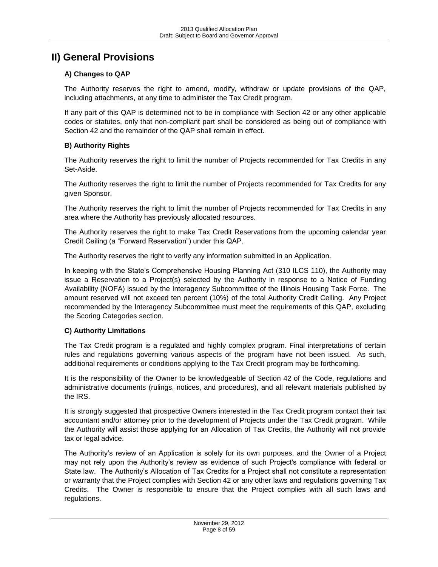# <span id="page-7-0"></span>**II) General Provisions**

# <span id="page-7-1"></span>**A) Changes to QAP**

The Authority reserves the right to amend, modify, withdraw or update provisions of the QAP, including attachments, at any time to administer the Tax Credit program.

If any part of this QAP is determined not to be in compliance with Section 42 or any other applicable codes or statutes, only that non-compliant part shall be considered as being out of compliance with Section 42 and the remainder of the QAP shall remain in effect.

# <span id="page-7-2"></span>**B) Authority Rights**

The Authority reserves the right to limit the number of Projects recommended for Tax Credits in any Set-Aside.

The Authority reserves the right to limit the number of Projects recommended for Tax Credits for any given Sponsor.

The Authority reserves the right to limit the number of Projects recommended for Tax Credits in any area where the Authority has previously allocated resources.

The Authority reserves the right to make Tax Credit Reservations from the upcoming calendar year Credit Ceiling (a "Forward Reservation") under this QAP.

The Authority reserves the right to verify any information submitted in an Application.

In keeping with the State's Comprehensive Housing Planning Act (310 ILCS 110), the Authority may issue a Reservation to a Project(s) selected by the Authority in response to a Notice of Funding Availability (NOFA) issued by the Interagency Subcommittee of the Illinois Housing Task Force. The amount reserved will not exceed ten percent (10%) of the total Authority Credit Ceiling. Any Project recommended by the Interagency Subcommittee must meet the requirements of this QAP, excluding the Scoring Categories section.

# <span id="page-7-3"></span>**C) Authority Limitations**

The Tax Credit program is a regulated and highly complex program. Final interpretations of certain rules and regulations governing various aspects of the program have not been issued. As such, additional requirements or conditions applying to the Tax Credit program may be forthcoming.

It is the responsibility of the Owner to be knowledgeable of Section 42 of the Code, regulations and administrative documents (rulings, notices, and procedures), and all relevant materials published by the IRS.

It is strongly suggested that prospective Owners interested in the Tax Credit program contact their tax accountant and/or attorney prior to the development of Projects under the Tax Credit program. While the Authority will assist those applying for an Allocation of Tax Credits, the Authority will not provide tax or legal advice.

The Authority's review of an Application is solely for its own purposes, and the Owner of a Project may not rely upon the Authority's review as evidence of such Project's compliance with federal or State law. The Authority's Allocation of Tax Credits for a Project shall not constitute a representation or warranty that the Project complies with Section 42 or any other laws and regulations governing Tax Credits. The Owner is responsible to ensure that the Project complies with all such laws and regulations.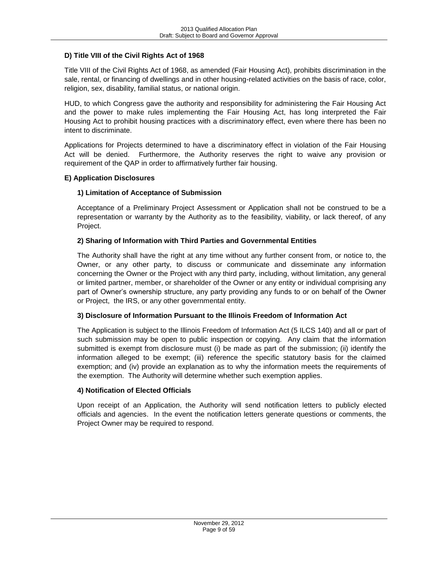# <span id="page-8-0"></span>**D) Title VIII of the Civil Rights Act of 1968**

Title VIII of the Civil Rights Act of 1968, as amended (Fair Housing Act), prohibits discrimination in the sale, rental, or financing of dwellings and in other housing-related activities on the basis of race, color, religion, sex, disability, familial status, or national origin.

HUD, to which Congress gave the authority and responsibility for administering the Fair Housing Act and the power to make rules implementing the Fair Housing Act, has long interpreted the Fair Housing Act to prohibit housing practices with a discriminatory effect, even where there has been no intent to discriminate.

Applications for Projects determined to have a discriminatory effect in violation of the Fair Housing Act will be denied. Furthermore, the Authority reserves the right to waive any provision or requirement of the QAP in order to affirmatively further fair housing.

### <span id="page-8-1"></span>**E) Application Disclosures**

# **1) Limitation of Acceptance of Submission**

Acceptance of a Preliminary Project Assessment or Application shall not be construed to be a representation or warranty by the Authority as to the feasibility, viability, or lack thereof, of any Project.

# **2) Sharing of Information with Third Parties and Governmental Entities**

The Authority shall have the right at any time without any further consent from, or notice to, the Owner, or any other party, to discuss or communicate and disseminate any information concerning the Owner or the Project with any third party, including, without limitation, any general or limited partner, member, or shareholder of the Owner or any entity or individual comprising any part of Owner's ownership structure, any party providing any funds to or on behalf of the Owner or Project, the IRS, or any other governmental entity.

### **3) Disclosure of Information Pursuant to the Illinois Freedom of Information Act**

The Application is subject to the Illinois Freedom of Information Act (5 ILCS 140) and all or part of such submission may be open to public inspection or copying. Any claim that the information submitted is exempt from disclosure must (i) be made as part of the submission; (ii) identify the information alleged to be exempt; (iii) reference the specific statutory basis for the claimed exemption; and (iv) provide an explanation as to why the information meets the requirements of the exemption. The Authority will determine whether such exemption applies.

### **4) Notification of Elected Officials**

Upon receipt of an Application, the Authority will send notification letters to publicly elected officials and agencies. In the event the notification letters generate questions or comments, the Project Owner may be required to respond.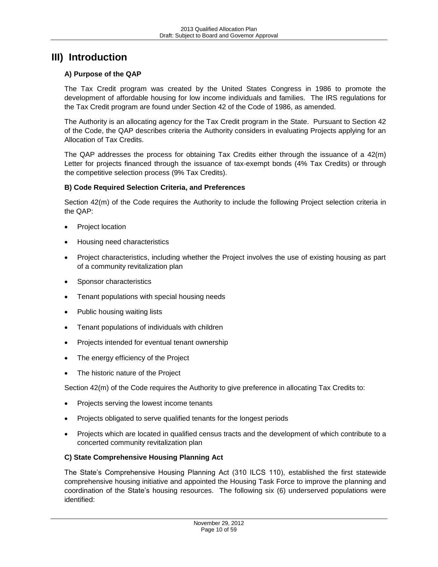# <span id="page-9-0"></span>**III) Introduction**

# <span id="page-9-1"></span>**A) Purpose of the QAP**

The Tax Credit program was created by the United States Congress in 1986 to promote the development of affordable housing for low income individuals and families. The IRS regulations for the Tax Credit program are found under Section 42 of the Code of 1986, as amended.

The Authority is an allocating agency for the Tax Credit program in the State. Pursuant to Section 42 of the Code, the QAP describes criteria the Authority considers in evaluating Projects applying for an Allocation of Tax Credits.

The QAP addresses the process for obtaining Tax Credits either through the issuance of a 42(m) Letter for projects financed through the issuance of tax-exempt bonds (4% Tax Credits) or through the competitive selection process (9% Tax Credits).

### <span id="page-9-2"></span>**B) Code Required Selection Criteria, and Preferences**

Section 42(m) of the Code requires the Authority to include the following Project selection criteria in the QAP:

- Project location
- Housing need characteristics
- Project characteristics, including whether the Project involves the use of existing housing as part of a community revitalization plan
- Sponsor characteristics
- Tenant populations with special housing needs
- Public housing waiting lists
- Tenant populations of individuals with children
- Projects intended for eventual tenant ownership
- The energy efficiency of the Project
- The historic nature of the Project

Section 42(m) of the Code requires the Authority to give preference in allocating Tax Credits to:

- Projects serving the lowest income tenants
- Projects obligated to serve qualified tenants for the longest periods
- Projects which are located in qualified census tracts and the development of which contribute to a concerted community revitalization plan

### <span id="page-9-3"></span>**C) State Comprehensive Housing Planning Act**

The State's Comprehensive Housing Planning Act (310 ILCS 110), established the first statewide comprehensive housing initiative and appointed the Housing Task Force to improve the planning and coordination of the State's housing resources. The following six (6) underserved populations were identified: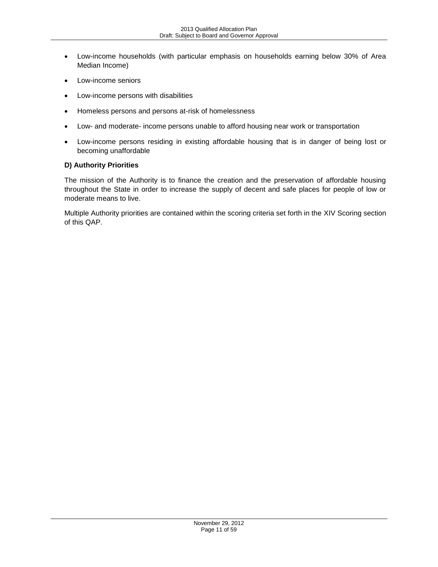- Low-income households (with particular emphasis on households earning below 30% of Area Median Income)
- Low-income seniors
- Low-income persons with disabilities
- Homeless persons and persons at-risk of homelessness
- Low- and moderate- income persons unable to afford housing near work or transportation
- Low-income persons residing in existing affordable housing that is in danger of being lost or becoming unaffordable

## <span id="page-10-0"></span>**D) Authority Priorities**

The mission of the Authority is to finance the creation and the preservation of affordable housing throughout the State in order to increase the supply of decent and safe places for people of low or moderate means to live.

Multiple Authority priorities are contained within the scoring criteria set forth in the XIV Scoring section of this QAP.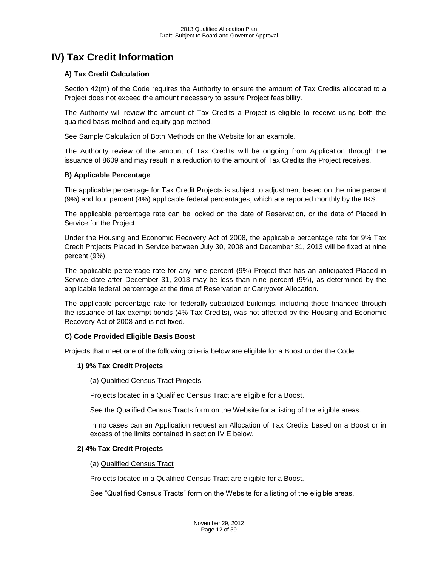# <span id="page-11-0"></span>**IV) Tax Credit Information**

# <span id="page-11-1"></span>**A) Tax Credit Calculation**

Section 42(m) of the Code requires the Authority to ensure the amount of Tax Credits allocated to a Project does not exceed the amount necessary to assure Project feasibility.

The Authority will review the amount of Tax Credits a Project is eligible to receive using both the qualified basis method and equity gap method.

See Sample Calculation of Both Methods on the Website for an example.

The Authority review of the amount of Tax Credits will be ongoing from Application through the issuance of 8609 and may result in a reduction to the amount of Tax Credits the Project receives.

### <span id="page-11-2"></span>**B) Applicable Percentage**

The applicable percentage for Tax Credit Projects is subject to adjustment based on the nine percent (9%) and four percent (4%) applicable federal percentages, which are reported monthly by the IRS.

The applicable percentage rate can be locked on the date of Reservation, or the date of Placed in Service for the Project.

Under the Housing and Economic Recovery Act of 2008, the applicable percentage rate for 9% Tax Credit Projects Placed in Service between July 30, 2008 and December 31, 2013 will be fixed at nine percent (9%).

The applicable percentage rate for any nine percent (9%) Project that has an anticipated Placed in Service date after December 31, 2013 may be less than nine percent (9%), as determined by the applicable federal percentage at the time of Reservation or Carryover Allocation.

The applicable percentage rate for federally-subsidized buildings, including those financed through the issuance of tax-exempt bonds (4% Tax Credits), was not affected by the Housing and Economic Recovery Act of 2008 and is not fixed.

### <span id="page-11-3"></span>**C) Code Provided Eligible Basis Boost**

Projects that meet one of the following criteria below are eligible for a Boost under the Code:

#### **1) 9% Tax Credit Projects**

#### (a) Qualified Census Tract Projects

Projects located in a Qualified Census Tract are eligible for a Boost.

See the Qualified Census Tracts form on the Website for a listing of the eligible areas.

In no cases can an Application request an Allocation of Tax Credits based on a Boost or in excess of the limits contained in section IV E below.

#### **2) 4% Tax Credit Projects**

#### (a) Qualified Census Tract

Projects located in a Qualified Census Tract are eligible for a Boost.

See "Qualified Census Tracts" form on the Website for a listing of the eligible areas.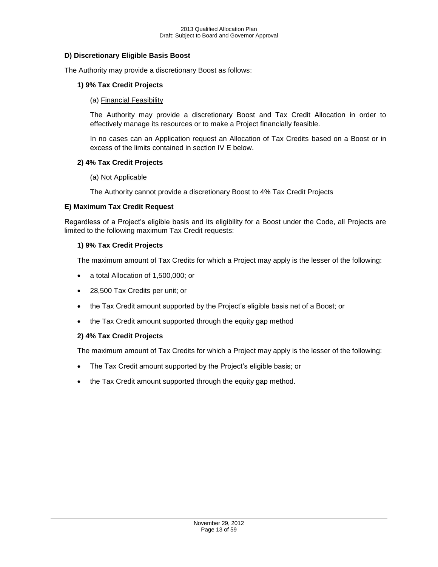# <span id="page-12-0"></span>**D) Discretionary Eligible Basis Boost**

The Authority may provide a discretionary Boost as follows:

### **1) 9% Tax Credit Projects**

(a) Financial Feasibility

The Authority may provide a discretionary Boost and Tax Credit Allocation in order to effectively manage its resources or to make a Project financially feasible.

In no cases can an Application request an Allocation of Tax Credits based on a Boost or in excess of the limits contained in section IV E below.

#### **2) 4% Tax Credit Projects**

#### (a) Not Applicable

The Authority cannot provide a discretionary Boost to 4% Tax Credit Projects

### <span id="page-12-1"></span>**E) Maximum Tax Credit Request**

Regardless of a Project's eligible basis and its eligibility for a Boost under the Code, all Projects are limited to the following maximum Tax Credit requests:

#### **1) 9% Tax Credit Projects**

The maximum amount of Tax Credits for which a Project may apply is the lesser of the following:

- a total Allocation of 1,500,000; or
- 28,500 Tax Credits per unit; or
- the Tax Credit amount supported by the Project's eligible basis net of a Boost; or
- the Tax Credit amount supported through the equity gap method

### **2) 4% Tax Credit Projects**

The maximum amount of Tax Credits for which a Project may apply is the lesser of the following:

- The Tax Credit amount supported by the Project's eligible basis; or
- the Tax Credit amount supported through the equity gap method.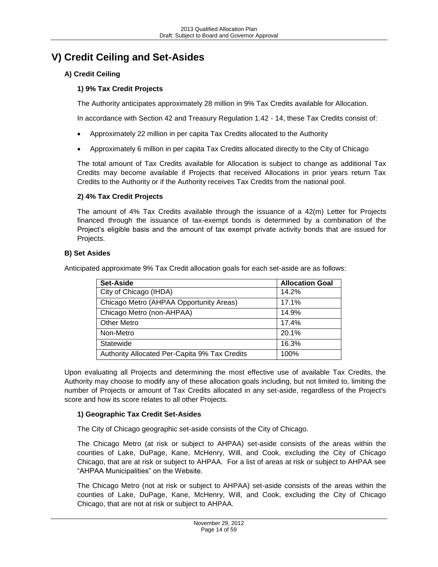# <span id="page-13-0"></span>**V) Credit Ceiling and Set-Asides**

# <span id="page-13-1"></span>**A) Credit Ceiling**

# **1) 9% Tax Credit Projects**

The Authority anticipates approximately 28 million in 9% Tax Credits available for Allocation.

In accordance with Section 42 and Treasury Regulation 1.42 - 14, these Tax Credits consist of:

- Approximately 22 million in per capita Tax Credits allocated to the Authority
- Approximately 6 million in per capita Tax Credits allocated directly to the City of Chicago

The total amount of Tax Credits available for Allocation is subject to change as additional Tax Credits may become available if Projects that received Allocations in prior years return Tax Credits to the Authority or if the Authority receives Tax Credits from the national pool.

# **2) 4% Tax Credit Projects**

The amount of 4% Tax Credits available through the issuance of a 42(m) Letter for Projects financed through the issuance of tax-exempt bonds is determined by a combination of the Project's eligible basis and the amount of tax exempt private activity bonds that are issued for Projects.

# <span id="page-13-2"></span>**B) Set Asides**

Anticipated approximate 9% Tax Credit allocation goals for each set-aside are as follows:

| Set-Aside                                     | <b>Allocation Goal</b> |
|-----------------------------------------------|------------------------|
| City of Chicago (IHDA)                        | 14.2%                  |
| Chicago Metro (AHPAA Opportunity Areas)       | 17.1%                  |
| Chicago Metro (non-AHPAA)                     | 14.9%                  |
| <b>Other Metro</b>                            | 17.4%                  |
| Non-Metro                                     | 20.1%                  |
| Statewide                                     | 16.3%                  |
| Authority Allocated Per-Capita 9% Tax Credits | 100%                   |

Upon evaluating all Projects and determining the most effective use of available Tax Credits, the Authority may choose to modify any of these allocation goals including, but not limited to, limiting the number of Projects or amount of Tax Credits allocated in any set-aside, regardless of the Project's score and how its score relates to all other Projects.

# **1) Geographic Tax Credit Set-Asides**

The City of Chicago geographic set-aside consists of the City of Chicago.

The Chicago Metro (at risk or subject to AHPAA) set-aside consists of the areas within the counties of Lake, DuPage, Kane, McHenry, Will, and Cook, excluding the City of Chicago Chicago, that are at risk or subject to AHPAA. For a list of areas at risk or subject to AHPAA see "AHPAA Municipalities" on the Website.

The Chicago Metro (not at risk or subject to AHPAA) set-aside consists of the areas within the counties of Lake, DuPage, Kane, McHenry, Will, and Cook, excluding the City of Chicago Chicago, that are not at risk or subject to AHPAA.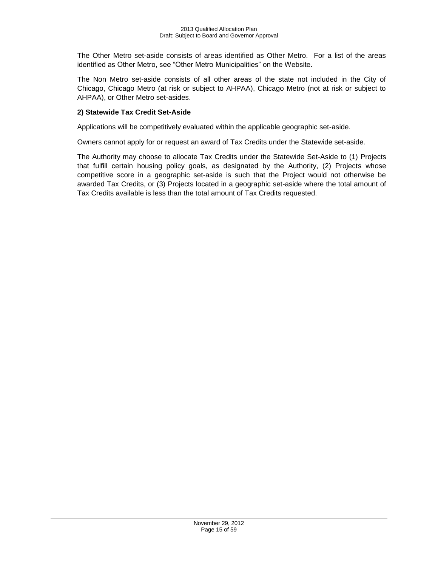The Other Metro set-aside consists of areas identified as Other Metro. For a list of the areas identified as Other Metro, see "Other Metro Municipalities" on the Website.

The Non Metro set-aside consists of all other areas of the state not included in the City of Chicago, Chicago Metro (at risk or subject to AHPAA), Chicago Metro (not at risk or subject to AHPAA), or Other Metro set-asides.

# **2) Statewide Tax Credit Set-Aside**

Applications will be competitively evaluated within the applicable geographic set-aside.

Owners cannot apply for or request an award of Tax Credits under the Statewide set-aside.

The Authority may choose to allocate Tax Credits under the Statewide Set-Aside to (1) Projects that fulfill certain housing policy goals, as designated by the Authority, (2) Projects whose competitive score in a geographic set-aside is such that the Project would not otherwise be awarded Tax Credits, or (3) Projects located in a geographic set-aside where the total amount of Tax Credits available is less than the total amount of Tax Credits requested.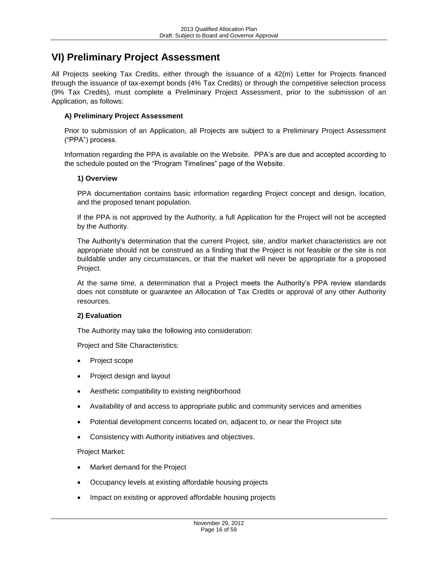# <span id="page-15-0"></span>**VI) Preliminary Project Assessment**

All Projects seeking Tax Credits, either through the issuance of a 42(m) Letter for Projects financed through the issuance of tax-exempt bonds (4% Tax Credits) or through the competitive selection process (9% Tax Credits), must complete a Preliminary Project Assessment, prior to the submission of an Application, as follows:

# <span id="page-15-1"></span>**A) Preliminary Project Assessment**

Prior to submission of an Application, all Projects are subject to a Preliminary Project Assessment ("PPA") process.

Information regarding the PPA is available on the Website. PPA's are due and accepted according to the schedule posted on the "Program Timelines" page of the Website.

### **1) Overview**

PPA documentation contains basic information regarding Project concept and design, location, and the proposed tenant population.

If the PPA is not approved by the Authority, a full Application for the Project will not be accepted by the Authority.

The Authority's determination that the current Project, site, and/or market characteristics are not appropriate should not be construed as a finding that the Project is not feasible or the site is not buildable under any circumstances, or that the market will never be appropriate for a proposed Project.

At the same time, a determination that a Project meets the Authority's PPA review standards does not constitute or guarantee an Allocation of Tax Credits or approval of any other Authority resources.

### **2) Evaluation**

The Authority may take the following into consideration:

Project and Site Characteristics:

- Project scope
- Project design and layout
- Aesthetic compatibility to existing neighborhood
- Availability of and access to appropriate public and community services and amenities
- Potential development concerns located on, adjacent to, or near the Project site
- Consistency with Authority initiatives and objectives.

Project Market:

- Market demand for the Project
- Occupancy levels at existing affordable housing projects
- Impact on existing or approved affordable housing projects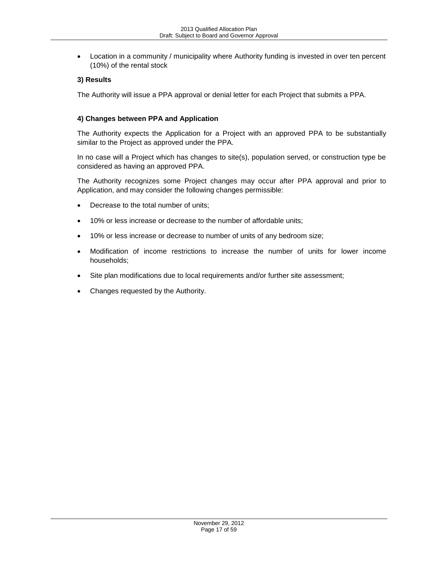Location in a community / municipality where Authority funding is invested in over ten percent (10%) of the rental stock

# **3) Results**

The Authority will issue a PPA approval or denial letter for each Project that submits a PPA.

# **4) Changes between PPA and Application**

The Authority expects the Application for a Project with an approved PPA to be substantially similar to the Project as approved under the PPA.

In no case will a Project which has changes to site(s), population served, or construction type be considered as having an approved PPA.

The Authority recognizes some Project changes may occur after PPA approval and prior to Application, and may consider the following changes permissible:

- Decrease to the total number of units;
- 10% or less increase or decrease to the number of affordable units;
- 10% or less increase or decrease to number of units of any bedroom size;
- Modification of income restrictions to increase the number of units for lower income households;
- Site plan modifications due to local requirements and/or further site assessment;
- Changes requested by the Authority.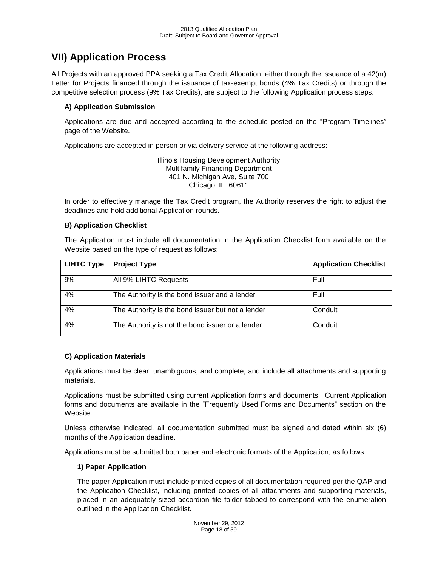# <span id="page-17-0"></span>**VII) Application Process**

All Projects with an approved PPA seeking a Tax Credit Allocation, either through the issuance of a 42(m) Letter for Projects financed through the issuance of tax-exempt bonds (4% Tax Credits) or through the competitive selection process (9% Tax Credits), are subject to the following Application process steps:

# <span id="page-17-1"></span>**A) Application Submission**

Applications are due and accepted according to the schedule posted on the "Program Timelines" page of the Website.

Applications are accepted in person or via delivery service at the following address:

Illinois Housing Development Authority Multifamily Financing Department 401 N. Michigan Ave, Suite 700 Chicago, IL 60611

In order to effectively manage the Tax Credit program, the Authority reserves the right to adjust the deadlines and hold additional Application rounds.

# <span id="page-17-2"></span>**B) Application Checklist**

The Application must include all documentation in the Application Checklist form available on the Website based on the type of request as follows:

| <b>LIHTC Type</b> | <b>Project Type</b>                               | <b>Application Checklist</b> |
|-------------------|---------------------------------------------------|------------------------------|
| 9%                | All 9% LIHTC Requests                             | Full                         |
| 4%                | The Authority is the bond issuer and a lender     | Full                         |
| 4%                | The Authority is the bond issuer but not a lender | Conduit                      |
| 4%                | The Authority is not the bond issuer or a lender  | Conduit                      |

# <span id="page-17-3"></span>**C) Application Materials**

Applications must be clear, unambiguous, and complete, and include all attachments and supporting materials.

Applications must be submitted using current Application forms and documents. Current Application forms and documents are available in the "Frequently Used Forms and Documents" section on the Website.

Unless otherwise indicated, all documentation submitted must be signed and dated within six (6) months of the Application deadline.

Applications must be submitted both paper and electronic formats of the Application, as follows:

# **1) Paper Application**

The paper Application must include printed copies of all documentation required per the QAP and the Application Checklist, including printed copies of all attachments and supporting materials, placed in an adequately sized accordion file folder tabbed to correspond with the enumeration outlined in the Application Checklist.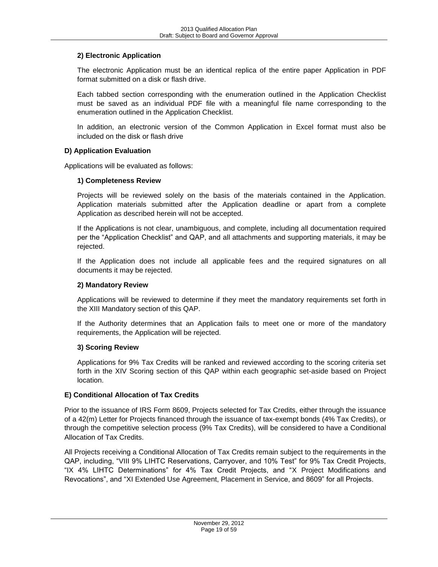# **2) Electronic Application**

The electronic Application must be an identical replica of the entire paper Application in PDF format submitted on a disk or flash drive.

Each tabbed section corresponding with the enumeration outlined in the Application Checklist must be saved as an individual PDF file with a meaningful file name corresponding to the enumeration outlined in the Application Checklist.

In addition, an electronic version of the Common Application in Excel format must also be included on the disk or flash drive

# <span id="page-18-0"></span>**D) Application Evaluation**

Applications will be evaluated as follows:

### **1) Completeness Review**

Projects will be reviewed solely on the basis of the materials contained in the Application. Application materials submitted after the Application deadline or apart from a complete Application as described herein will not be accepted.

If the Applications is not clear, unambiguous, and complete, including all documentation required per the "Application Checklist" and QAP, and all attachments and supporting materials, it may be rejected.

If the Application does not include all applicable fees and the required signatures on all documents it may be rejected.

### **2) Mandatory Review**

Applications will be reviewed to determine if they meet the mandatory requirements set forth in the XIII Mandatory section of this QAP.

If the Authority determines that an Application fails to meet one or more of the mandatory requirements, the Application will be rejected.

### **3) Scoring Review**

Applications for 9% Tax Credits will be ranked and reviewed according to the scoring criteria set forth in the XIV Scoring section of this QAP within each geographic set-aside based on Project location.

### <span id="page-18-1"></span>**E) Conditional Allocation of Tax Credits**

Prior to the issuance of IRS Form 8609, Projects selected for Tax Credits, either through the issuance of a 42(m) Letter for Projects financed through the issuance of tax-exempt bonds (4% Tax Credits), or through the competitive selection process (9% Tax Credits), will be considered to have a Conditional Allocation of Tax Credits.

All Projects receiving a Conditional Allocation of Tax Credits remain subject to the requirements in the QAP, including, "VIII 9% LIHTC Reservations, Carryover, and 10% Test" for 9% Tax Credit Projects, "IX 4% LIHTC Determinations" for 4% Tax Credit Projects, and "X Project Modifications and Revocations", and "XI Extended Use Agreement, Placement in Service, and 8609" for all Projects.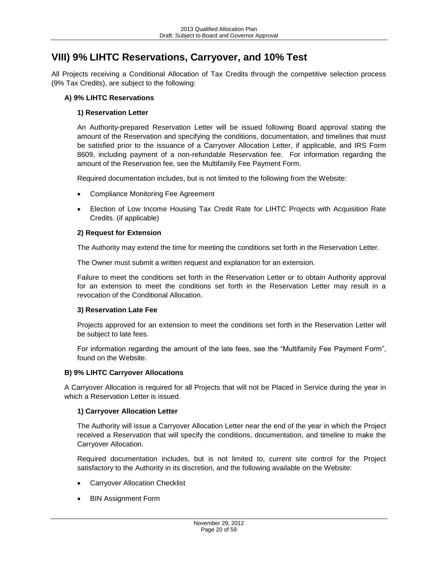# <span id="page-19-0"></span>**VIII) 9% LIHTC Reservations, Carryover, and 10% Test**

All Projects receiving a Conditional Allocation of Tax Credits through the competitive selection process (9% Tax Credits), are subject to the following:

### <span id="page-19-1"></span>**A) 9% LIHTC Reservations**

# **1) Reservation Letter**

An Authority-prepared Reservation Letter will be issued following Board approval stating the amount of the Reservation and specifying the conditions, documentation, and timelines that must be satisfied prior to the issuance of a Carryover Allocation Letter, if applicable, and IRS Form 8609, including payment of a non-refundable Reservation fee. For information regarding the amount of the Reservation fee, see the Multifamily Fee Payment Form.

Required documentation includes, but is not limited to the following from the Website:

- Compliance Monitoring Fee Agreement
- Election of Low Income Housing Tax Credit Rate for LIHTC Projects with Acquisition Rate Credits. (if applicable)

### **2) Request for Extension**

The Authority may extend the time for meeting the conditions set forth in the Reservation Letter.

The Owner must submit a written request and explanation for an extension.

Failure to meet the conditions set forth in the Reservation Letter or to obtain Authority approval for an extension to meet the conditions set forth in the Reservation Letter may result in a revocation of the Conditional Allocation.

### **3) Reservation Late Fee**

Projects approved for an extension to meet the conditions set forth in the Reservation Letter will be subject to late fees.

For information regarding the amount of the late fees, see the "Multifamily Fee Payment Form", found on the Website.

### <span id="page-19-2"></span>**B) 9% LIHTC Carryover Allocations**

A Carryover Allocation is required for all Projects that will not be Placed in Service during the year in which a Reservation Letter is issued.

### **1) Carryover Allocation Letter**

The Authority will issue a Carryover Allocation Letter near the end of the year in which the Project received a Reservation that will specify the conditions, documentation, and timeline to make the Carryover Allocation.

Required documentation includes, but is not limited to, current site control for the Project satisfactory to the Authority in its discretion, and the following available on the Website:

- Carryover Allocation Checklist
- BIN Assignment Form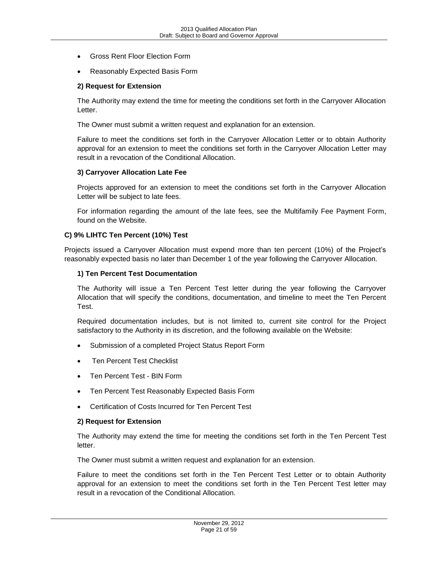- Gross Rent Floor Election Form
- Reasonably Expected Basis Form

#### **2) Request for Extension**

The Authority may extend the time for meeting the conditions set forth in the Carryover Allocation Letter.

The Owner must submit a written request and explanation for an extension.

Failure to meet the conditions set forth in the Carryover Allocation Letter or to obtain Authority approval for an extension to meet the conditions set forth in the Carryover Allocation Letter may result in a revocation of the Conditional Allocation.

#### **3) Carryover Allocation Late Fee**

Projects approved for an extension to meet the conditions set forth in the Carryover Allocation Letter will be subject to late fees.

For information regarding the amount of the late fees, see the Multifamily Fee Payment Form, found on the Website.

#### <span id="page-20-0"></span>**C) 9% LIHTC Ten Percent (10%) Test**

Projects issued a Carryover Allocation must expend more than ten percent (10%) of the Project's reasonably expected basis no later than December 1 of the year following the Carryover Allocation.

#### **1) Ten Percent Test Documentation**

The Authority will issue a Ten Percent Test letter during the year following the Carryover Allocation that will specify the conditions, documentation, and timeline to meet the Ten Percent Test.

Required documentation includes, but is not limited to, current site control for the Project satisfactory to the Authority in its discretion, and the following available on the Website:

- Submission of a completed Project Status Report Form
- Ten Percent Test Checklist
- Ten Percent Test BIN Form
- Ten Percent Test Reasonably Expected Basis Form
- Certification of Costs Incurred for Ten Percent Test

#### **2) Request for Extension**

The Authority may extend the time for meeting the conditions set forth in the Ten Percent Test letter.

The Owner must submit a written request and explanation for an extension.

Failure to meet the conditions set forth in the Ten Percent Test Letter or to obtain Authority approval for an extension to meet the conditions set forth in the Ten Percent Test letter may result in a revocation of the Conditional Allocation.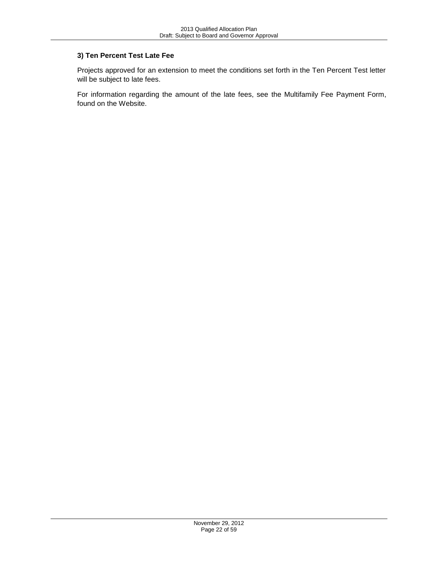# **3) Ten Percent Test Late Fee**

Projects approved for an extension to meet the conditions set forth in the Ten Percent Test letter will be subject to late fees.

For information regarding the amount of the late fees, see the Multifamily Fee Payment Form, found on the Website.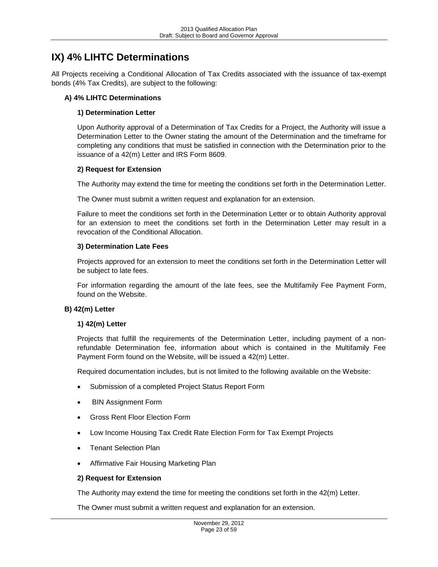# <span id="page-22-0"></span>**IX) 4% LIHTC Determinations**

All Projects receiving a Conditional Allocation of Tax Credits associated with the issuance of tax-exempt bonds (4% Tax Credits), are subject to the following:

### <span id="page-22-1"></span>**A) 4% LIHTC Determinations**

#### **1) Determination Letter**

Upon Authority approval of a Determination of Tax Credits for a Project, the Authority will issue a Determination Letter to the Owner stating the amount of the Determination and the timeframe for completing any conditions that must be satisfied in connection with the Determination prior to the issuance of a 42(m) Letter and IRS Form 8609.

#### **2) Request for Extension**

The Authority may extend the time for meeting the conditions set forth in the Determination Letter.

The Owner must submit a written request and explanation for an extension.

Failure to meet the conditions set forth in the Determination Letter or to obtain Authority approval for an extension to meet the conditions set forth in the Determination Letter may result in a revocation of the Conditional Allocation.

#### **3) Determination Late Fees**

Projects approved for an extension to meet the conditions set forth in the Determination Letter will be subject to late fees.

For information regarding the amount of the late fees, see the Multifamily Fee Payment Form, found on the Website.

#### <span id="page-22-2"></span>**B) 42(m) Letter**

#### **1) 42(m) Letter**

Projects that fulfill the requirements of the Determination Letter, including payment of a nonrefundable Determination fee, information about which is contained in the Multifamily Fee Payment Form found on the Website, will be issued a 42(m) Letter.

Required documentation includes, but is not limited to the following available on the Website:

- Submission of a completed Project Status Report Form
- BIN Assignment Form
- Gross Rent Floor Election Form
- Low Income Housing Tax Credit Rate Election Form for Tax Exempt Projects
- Tenant Selection Plan
- Affirmative Fair Housing Marketing Plan

#### **2) Request for Extension**

The Authority may extend the time for meeting the conditions set forth in the 42(m) Letter.

The Owner must submit a written request and explanation for an extension.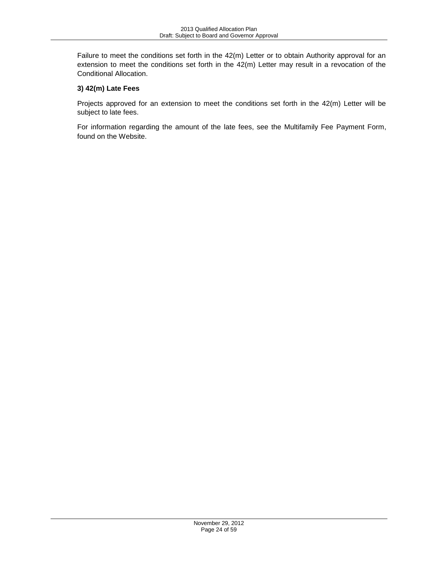Failure to meet the conditions set forth in the 42(m) Letter or to obtain Authority approval for an extension to meet the conditions set forth in the 42(m) Letter may result in a revocation of the Conditional Allocation.

# **3) 42(m) Late Fees**

Projects approved for an extension to meet the conditions set forth in the 42(m) Letter will be subject to late fees.

For information regarding the amount of the late fees, see the Multifamily Fee Payment Form, found on the Website.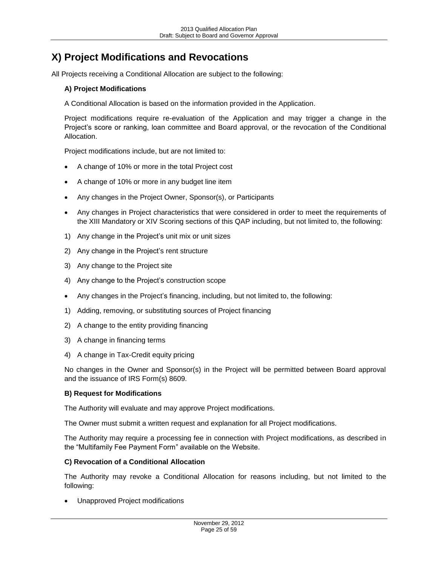# <span id="page-24-0"></span>**X) Project Modifications and Revocations**

<span id="page-24-1"></span>All Projects receiving a Conditional Allocation are subject to the following:

## **A) Project Modifications**

A Conditional Allocation is based on the information provided in the Application.

Project modifications require re-evaluation of the Application and may trigger a change in the Project's score or ranking, loan committee and Board approval, or the revocation of the Conditional Allocation.

Project modifications include, but are not limited to:

- A change of 10% or more in the total Project cost
- A change of 10% or more in any budget line item
- Any changes in the Project Owner, Sponsor(s), or Participants
- Any changes in Project characteristics that were considered in order to meet the requirements of the XIII Mandatory or XIV Scoring sections of this QAP including, but not limited to, the following:
- 1) Any change in the Project's unit mix or unit sizes
- 2) Any change in the Project's rent structure
- 3) Any change to the Project site
- 4) Any change to the Project's construction scope
- Any changes in the Project's financing, including, but not limited to, the following:
- 1) Adding, removing, or substituting sources of Project financing
- 2) A change to the entity providing financing
- 3) A change in financing terms
- 4) A change in Tax-Credit equity pricing

No changes in the Owner and Sponsor(s) in the Project will be permitted between Board approval and the issuance of IRS Form(s) 8609.

#### <span id="page-24-2"></span>**B) Request for Modifications**

The Authority will evaluate and may approve Project modifications.

The Owner must submit a written request and explanation for all Project modifications.

The Authority may require a processing fee in connection with Project modifications, as described in the "Multifamily Fee Payment Form" available on the Website.

#### <span id="page-24-3"></span>**C) Revocation of a Conditional Allocation**

The Authority may revoke a Conditional Allocation for reasons including, but not limited to the following:

Unapproved Project modifications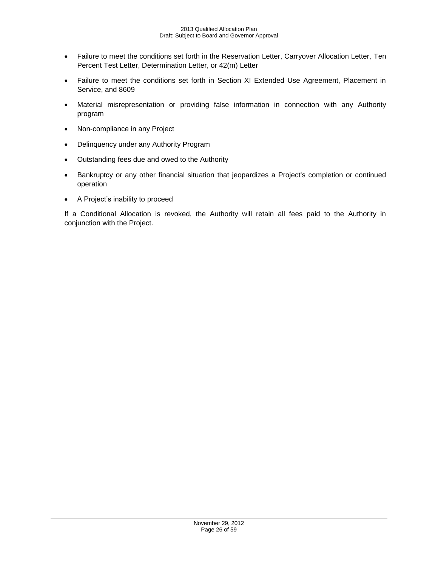- Failure to meet the conditions set forth in the Reservation Letter, Carryover Allocation Letter, Ten Percent Test Letter, Determination Letter, or 42(m) Letter
- Failure to meet the conditions set forth in Section XI Extended Use Agreement, Placement in Service, and 8609
- Material misrepresentation or providing false information in connection with any Authority program
- Non-compliance in any Project
- Delinquency under any Authority Program
- Outstanding fees due and owed to the Authority
- Bankruptcy or any other financial situation that jeopardizes a Project's completion or continued operation
- A Project's inability to proceed

If a Conditional Allocation is revoked, the Authority will retain all fees paid to the Authority in conjunction with the Project.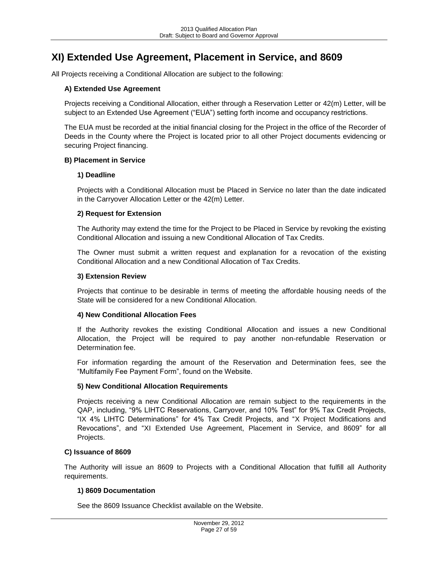# <span id="page-26-0"></span>**XI) Extended Use Agreement, Placement in Service, and 8609**

<span id="page-26-1"></span>All Projects receiving a Conditional Allocation are subject to the following:

#### **A) Extended Use Agreement**

Projects receiving a Conditional Allocation, either through a Reservation Letter or 42(m) Letter, will be subject to an Extended Use Agreement ("EUA") setting forth income and occupancy restrictions.

The EUA must be recorded at the initial financial closing for the Project in the office of the Recorder of Deeds in the County where the Project is located prior to all other Project documents evidencing or securing Project financing.

#### <span id="page-26-2"></span>**B) Placement in Service**

#### **1) Deadline**

Projects with a Conditional Allocation must be Placed in Service no later than the date indicated in the Carryover Allocation Letter or the 42(m) Letter.

#### **2) Request for Extension**

The Authority may extend the time for the Project to be Placed in Service by revoking the existing Conditional Allocation and issuing a new Conditional Allocation of Tax Credits.

The Owner must submit a written request and explanation for a revocation of the existing Conditional Allocation and a new Conditional Allocation of Tax Credits.

#### **3) Extension Review**

Projects that continue to be desirable in terms of meeting the affordable housing needs of the State will be considered for a new Conditional Allocation.

#### **4) New Conditional Allocation Fees**

If the Authority revokes the existing Conditional Allocation and issues a new Conditional Allocation, the Project will be required to pay another non-refundable Reservation or Determination fee.

For information regarding the amount of the Reservation and Determination fees, see the "Multifamily Fee Payment Form", found on the Website.

#### **5) New Conditional Allocation Requirements**

Projects receiving a new Conditional Allocation are remain subject to the requirements in the QAP, including, "9% LIHTC Reservations, Carryover, and 10% Test" for 9% Tax Credit Projects, "IX 4% LIHTC Determinations" for 4% Tax Credit Projects, and "X Project Modifications and Revocations", and "XI Extended Use Agreement, Placement in Service, and 8609" for all Projects.

#### <span id="page-26-3"></span>**C) Issuance of 8609**

The Authority will issue an 8609 to Projects with a Conditional Allocation that fulfill all Authority requirements.

#### **1) 8609 Documentation**

See the 8609 Issuance Checklist available on the Website.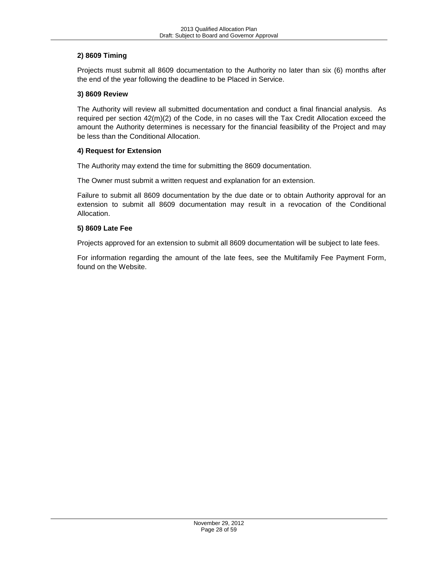# **2) 8609 Timing**

Projects must submit all 8609 documentation to the Authority no later than six (6) months after the end of the year following the deadline to be Placed in Service.

### **3) 8609 Review**

The Authority will review all submitted documentation and conduct a final financial analysis. As required per section 42(m)(2) of the Code, in no cases will the Tax Credit Allocation exceed the amount the Authority determines is necessary for the financial feasibility of the Project and may be less than the Conditional Allocation.

### **4) Request for Extension**

The Authority may extend the time for submitting the 8609 documentation.

The Owner must submit a written request and explanation for an extension.

Failure to submit all 8609 documentation by the due date or to obtain Authority approval for an extension to submit all 8609 documentation may result in a revocation of the Conditional Allocation.

### **5) 8609 Late Fee**

Projects approved for an extension to submit all 8609 documentation will be subject to late fees.

For information regarding the amount of the late fees, see the Multifamily Fee Payment Form, found on the Website.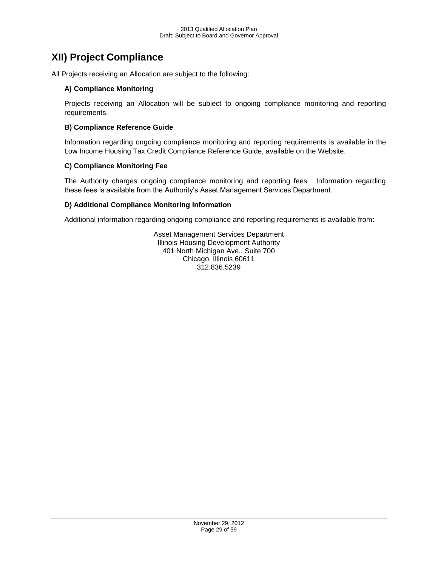# <span id="page-28-0"></span>**XII) Project Compliance**

<span id="page-28-1"></span>All Projects receiving an Allocation are subject to the following:

# **A) Compliance Monitoring**

Projects receiving an Allocation will be subject to ongoing compliance monitoring and reporting requirements.

# <span id="page-28-2"></span>**B) Compliance Reference Guide**

Information regarding ongoing compliance monitoring and reporting requirements is available in the Low Income Housing Tax Credit Compliance Reference Guide, available on the Website.

# <span id="page-28-3"></span>**C) Compliance Monitoring Fee**

The Authority charges ongoing compliance monitoring and reporting fees. Information regarding these fees is available from the Authority's Asset Management Services Department.

# <span id="page-28-4"></span>**D) Additional Compliance Monitoring Information**

Additional information regarding ongoing compliance and reporting requirements is available from:

Asset Management Services Department Illinois Housing Development Authority 401 North Michigan Ave., Suite 700 Chicago, Illinois 60611 312.836.5239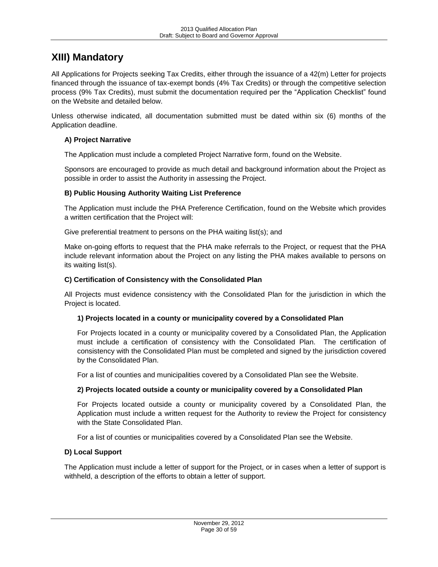# <span id="page-29-0"></span>**XIII) Mandatory**

All Applications for Projects seeking Tax Credits, either through the issuance of a 42(m) Letter for projects financed through the issuance of tax-exempt bonds (4% Tax Credits) or through the competitive selection process (9% Tax Credits), must submit the documentation required per the "Application Checklist" found on the Website and detailed below.

Unless otherwise indicated, all documentation submitted must be dated within six (6) months of the Application deadline.

# <span id="page-29-1"></span>**A) Project Narrative**

The Application must include a completed Project Narrative form, found on the Website.

Sponsors are encouraged to provide as much detail and background information about the Project as possible in order to assist the Authority in assessing the Project.

# <span id="page-29-2"></span>**B) Public Housing Authority Waiting List Preference**

The Application must include the PHA Preference Certification, found on the Website which provides a written certification that the Project will:

Give preferential treatment to persons on the PHA waiting list(s); and

Make on-going efforts to request that the PHA make referrals to the Project, or request that the PHA include relevant information about the Project on any listing the PHA makes available to persons on its waiting list(s).

# <span id="page-29-3"></span>**C) Certification of Consistency with the Consolidated Plan**

All Projects must evidence consistency with the Consolidated Plan for the jurisdiction in which the Project is located.

### **1) Projects located in a county or municipality covered by a Consolidated Plan**

For Projects located in a county or municipality covered by a Consolidated Plan, the Application must include a certification of consistency with the Consolidated Plan. The certification of consistency with the Consolidated Plan must be completed and signed by the jurisdiction covered by the Consolidated Plan.

For a list of counties and municipalities covered by a Consolidated Plan see the Website.

### **2) Projects located outside a county or municipality covered by a Consolidated Plan**

For Projects located outside a county or municipality covered by a Consolidated Plan, the Application must include a written request for the Authority to review the Project for consistency with the State Consolidated Plan.

For a list of counties or municipalities covered by a Consolidated Plan see the Website.

### <span id="page-29-4"></span>**D) Local Support**

The Application must include a letter of support for the Project, or in cases when a letter of support is withheld, a description of the efforts to obtain a letter of support.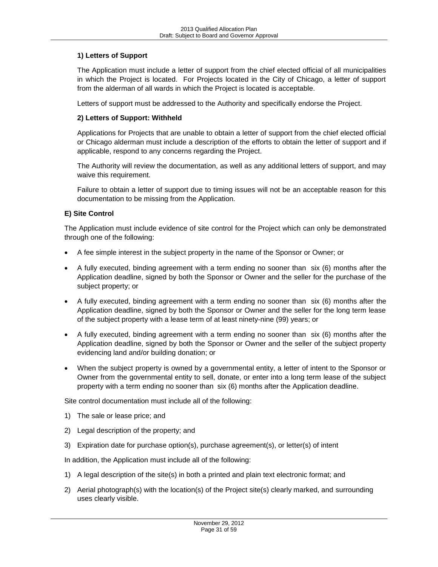# **1) Letters of Support**

The Application must include a letter of support from the chief elected official of all municipalities in which the Project is located. For Projects located in the City of Chicago, a letter of support from the alderman of all wards in which the Project is located is acceptable.

Letters of support must be addressed to the Authority and specifically endorse the Project.

# **2) Letters of Support: Withheld**

Applications for Projects that are unable to obtain a letter of support from the chief elected official or Chicago alderman must include a description of the efforts to obtain the letter of support and if applicable, respond to any concerns regarding the Project.

The Authority will review the documentation, as well as any additional letters of support, and may waive this requirement.

Failure to obtain a letter of support due to timing issues will not be an acceptable reason for this documentation to be missing from the Application.

# <span id="page-30-0"></span>**E) Site Control**

The Application must include evidence of site control for the Project which can only be demonstrated through one of the following:

- A fee simple interest in the subject property in the name of the Sponsor or Owner; or
- A fully executed, binding agreement with a term ending no sooner than six (6) months after the Application deadline, signed by both the Sponsor or Owner and the seller for the purchase of the subject property; or
- A fully executed, binding agreement with a term ending no sooner than six (6) months after the Application deadline, signed by both the Sponsor or Owner and the seller for the long term lease of the subject property with a lease term of at least ninety-nine (99) years; or
- A fully executed, binding agreement with a term ending no sooner than six (6) months after the Application deadline, signed by both the Sponsor or Owner and the seller of the subject property evidencing land and/or building donation; or
- When the subject property is owned by a governmental entity, a letter of intent to the Sponsor or Owner from the governmental entity to sell, donate, or enter into a long term lease of the subject property with a term ending no sooner than six (6) months after the Application deadline.

Site control documentation must include all of the following:

- 1) The sale or lease price; and
- 2) Legal description of the property; and
- 3) Expiration date for purchase option(s), purchase agreement(s), or letter(s) of intent

In addition, the Application must include all of the following:

- 1) A legal description of the site(s) in both a printed and plain text electronic format; and
- 2) Aerial photograph(s) with the location(s) of the Project site(s) clearly marked, and surrounding uses clearly visible.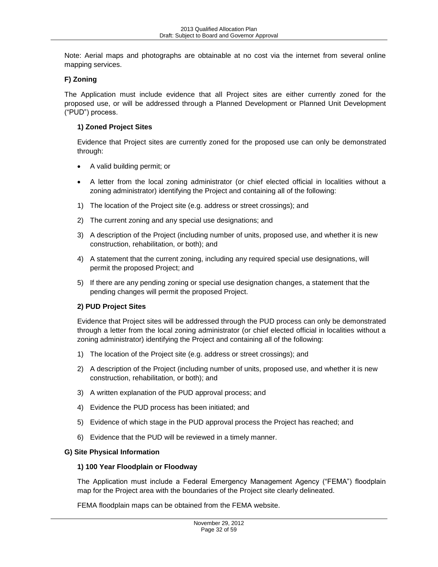Note: Aerial maps and photographs are obtainable at no cost via the internet from several online mapping services.

## <span id="page-31-0"></span>**F) Zoning**

The Application must include evidence that all Project sites are either currently zoned for the proposed use, or will be addressed through a Planned Development or Planned Unit Development ("PUD") process.

## **1) Zoned Project Sites**

Evidence that Project sites are currently zoned for the proposed use can only be demonstrated through:

- A valid building permit; or
- A letter from the local zoning administrator (or chief elected official in localities without a zoning administrator) identifying the Project and containing all of the following:
- 1) The location of the Project site (e.g. address or street crossings); and
- 2) The current zoning and any special use designations; and
- 3) A description of the Project (including number of units, proposed use, and whether it is new construction, rehabilitation, or both); and
- 4) A statement that the current zoning, including any required special use designations, will permit the proposed Project; and
- 5) If there are any pending zoning or special use designation changes, a statement that the pending changes will permit the proposed Project.

### **2) PUD Project Sites**

Evidence that Project sites will be addressed through the PUD process can only be demonstrated through a letter from the local zoning administrator (or chief elected official in localities without a zoning administrator) identifying the Project and containing all of the following:

- 1) The location of the Project site (e.g. address or street crossings); and
- 2) A description of the Project (including number of units, proposed use, and whether it is new construction, rehabilitation, or both); and
- 3) A written explanation of the PUD approval process; and
- 4) Evidence the PUD process has been initiated; and
- 5) Evidence of which stage in the PUD approval process the Project has reached; and
- 6) Evidence that the PUD will be reviewed in a timely manner.

### <span id="page-31-1"></span>**G) Site Physical Information**

#### **1) 100 Year Floodplain or Floodway**

The Application must include a Federal Emergency Management Agency ("FEMA") floodplain map for the Project area with the boundaries of the Project site clearly delineated.

FEMA floodplain maps can be obtained from the FEMA website.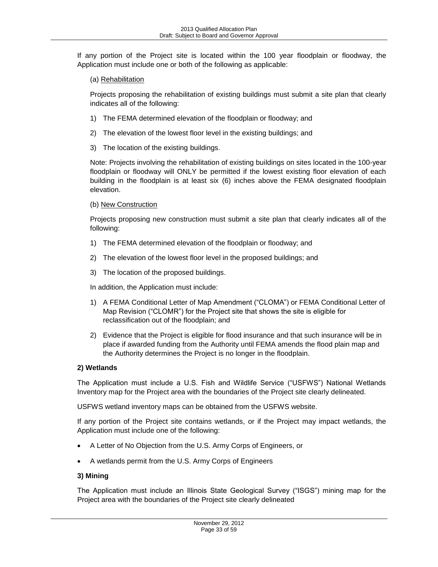If any portion of the Project site is located within the 100 year floodplain or floodway, the Application must include one or both of the following as applicable:

(a) Rehabilitation

Projects proposing the rehabilitation of existing buildings must submit a site plan that clearly indicates all of the following:

- 1) The FEMA determined elevation of the floodplain or floodway; and
- 2) The elevation of the lowest floor level in the existing buildings; and
- 3) The location of the existing buildings.

Note: Projects involving the rehabilitation of existing buildings on sites located in the 100-year floodplain or floodway will ONLY be permitted if the lowest existing floor elevation of each building in the floodplain is at least six (6) inches above the FEMA designated floodplain elevation.

(b) New Construction

Projects proposing new construction must submit a site plan that clearly indicates all of the following:

- 1) The FEMA determined elevation of the floodplain or floodway; and
- 2) The elevation of the lowest floor level in the proposed buildings; and
- 3) The location of the proposed buildings.

In addition, the Application must include:

- 1) A FEMA Conditional Letter of Map Amendment ("CLOMA") or FEMA Conditional Letter of Map Revision ("CLOMR") for the Project site that shows the site is eligible for reclassification out of the floodplain; and
- 2) Evidence that the Project is eligible for flood insurance and that such insurance will be in place if awarded funding from the Authority until FEMA amends the flood plain map and the Authority determines the Project is no longer in the floodplain.

# **2) Wetlands**

The Application must include a U.S. Fish and Wildlife Service ("USFWS") National Wetlands Inventory map for the Project area with the boundaries of the Project site clearly delineated.

USFWS wetland inventory maps can be obtained from the USFWS website.

If any portion of the Project site contains wetlands, or if the Project may impact wetlands, the Application must include one of the following:

- A Letter of No Objection from the U.S. Army Corps of Engineers, or
- A wetlands permit from the U.S. Army Corps of Engineers

# **3) Mining**

The Application must include an Illinois State Geological Survey ("ISGS") mining map for the Project area with the boundaries of the Project site clearly delineated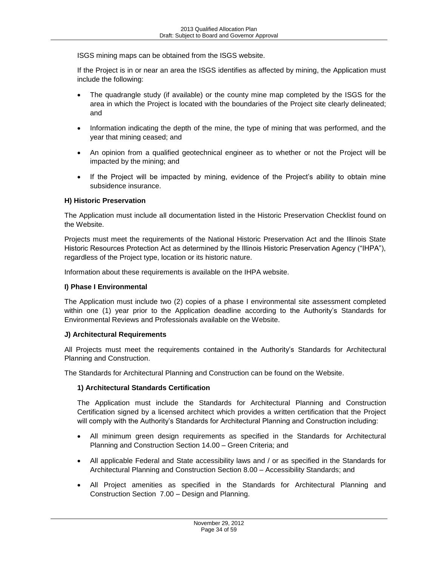ISGS mining maps can be obtained from the ISGS website.

If the Project is in or near an area the ISGS identifies as affected by mining, the Application must include the following:

- The quadrangle study (if available) or the county mine map completed by the ISGS for the area in which the Project is located with the boundaries of the Project site clearly delineated; and
- Information indicating the depth of the mine, the type of mining that was performed, and the year that mining ceased; and
- An opinion from a qualified geotechnical engineer as to whether or not the Project will be impacted by the mining; and
- If the Project will be impacted by mining, evidence of the Project's ability to obtain mine subsidence insurance.

### <span id="page-33-0"></span>**H) Historic Preservation**

The Application must include all documentation listed in the Historic Preservation Checklist found on the Website.

Projects must meet the requirements of the National Historic Preservation Act and the Illinois State Historic Resources Protection Act as determined by the Illinois Historic Preservation Agency ("IHPA"), regardless of the Project type, location or its historic nature.

Information about these requirements is available on the IHPA website.

#### <span id="page-33-1"></span>**I) Phase I Environmental**

The Application must include two (2) copies of a phase I environmental site assessment completed within one (1) year prior to the Application deadline according to the Authority's Standards for Environmental Reviews and Professionals available on the Website.

#### <span id="page-33-2"></span>**J) Architectural Requirements**

All Projects must meet the requirements contained in the Authority's Standards for Architectural Planning and Construction.

The Standards for Architectural Planning and Construction can be found on the Website.

### **1) Architectural Standards Certification**

The Application must include the Standards for Architectural Planning and Construction Certification signed by a licensed architect which provides a written certification that the Project will comply with the Authority's Standards for Architectural Planning and Construction including:

- All minimum green design requirements as specified in the Standards for Architectural Planning and Construction Section 14.00 – Green Criteria; and
- All applicable Federal and State accessibility laws and / or as specified in the Standards for Architectural Planning and Construction Section 8.00 – Accessibility Standards; and
- All Project amenities as specified in the Standards for Architectural Planning and Construction Section 7.00 – Design and Planning.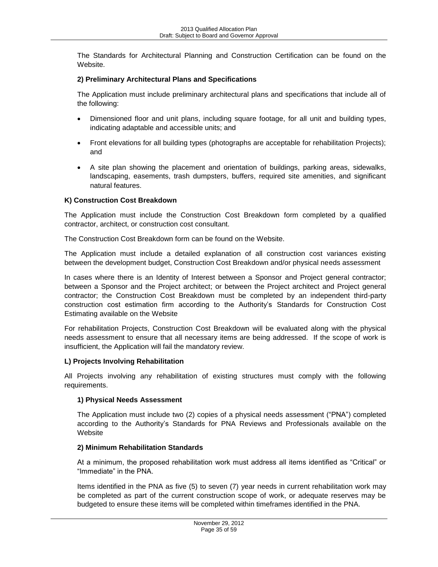The Standards for Architectural Planning and Construction Certification can be found on the Website.

## **2) Preliminary Architectural Plans and Specifications**

The Application must include preliminary architectural plans and specifications that include all of the following:

- Dimensioned floor and unit plans, including square footage, for all unit and building types, indicating adaptable and accessible units; and
- Front elevations for all building types (photographs are acceptable for rehabilitation Projects); and
- A site plan showing the placement and orientation of buildings, parking areas, sidewalks, landscaping, easements, trash dumpsters, buffers, required site amenities, and significant natural features.

### <span id="page-34-0"></span>**K) Construction Cost Breakdown**

The Application must include the Construction Cost Breakdown form completed by a qualified contractor, architect, or construction cost consultant.

The Construction Cost Breakdown form can be found on the Website.

The Application must include a detailed explanation of all construction cost variances existing between the development budget, Construction Cost Breakdown and/or physical needs assessment

In cases where there is an Identity of Interest between a Sponsor and Project general contractor; between a Sponsor and the Project architect; or between the Project architect and Project general contractor; the Construction Cost Breakdown must be completed by an independent third-party construction cost estimation firm according to the Authority's Standards for Construction Cost Estimating available on the Website

For rehabilitation Projects, Construction Cost Breakdown will be evaluated along with the physical needs assessment to ensure that all necessary items are being addressed. If the scope of work is insufficient, the Application will fail the mandatory review.

### <span id="page-34-1"></span>**L) Projects Involving Rehabilitation**

All Projects involving any rehabilitation of existing structures must comply with the following requirements.

### **1) Physical Needs Assessment**

The Application must include two (2) copies of a physical needs assessment ("PNA") completed according to the Authority's Standards for PNA Reviews and Professionals available on the **Website** 

### **2) Minimum Rehabilitation Standards**

At a minimum, the proposed rehabilitation work must address all items identified as "Critical" or "Immediate" in the PNA.

Items identified in the PNA as five (5) to seven (7) year needs in current rehabilitation work may be completed as part of the current construction scope of work, or adequate reserves may be budgeted to ensure these items will be completed within timeframes identified in the PNA.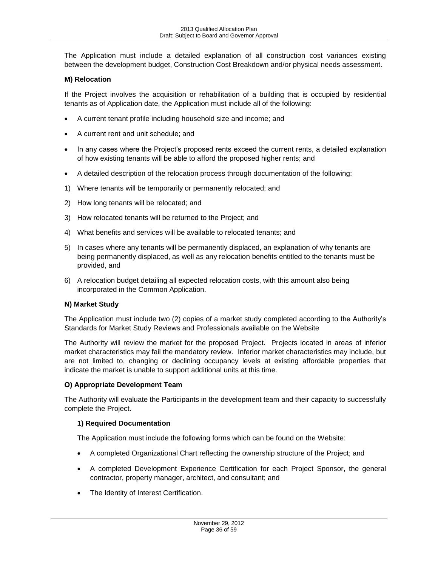The Application must include a detailed explanation of all construction cost variances existing between the development budget, Construction Cost Breakdown and/or physical needs assessment.

## <span id="page-35-0"></span>**M) Relocation**

If the Project involves the acquisition or rehabilitation of a building that is occupied by residential tenants as of Application date, the Application must include all of the following:

- A current tenant profile including household size and income; and
- A current rent and unit schedule; and
- In any cases where the Project's proposed rents exceed the current rents, a detailed explanation of how existing tenants will be able to afford the proposed higher rents; and
- A detailed description of the relocation process through documentation of the following:
- 1) Where tenants will be temporarily or permanently relocated; and
- 2) How long tenants will be relocated; and
- 3) How relocated tenants will be returned to the Project; and
- 4) What benefits and services will be available to relocated tenants; and
- 5) In cases where any tenants will be permanently displaced, an explanation of why tenants are being permanently displaced, as well as any relocation benefits entitled to the tenants must be provided, and
- 6) A relocation budget detailing all expected relocation costs, with this amount also being incorporated in the Common Application.

### <span id="page-35-1"></span>**N) Market Study**

The Application must include two (2) copies of a market study completed according to the Authority's Standards for Market Study Reviews and Professionals available on the Website

The Authority will review the market for the proposed Project. Projects located in areas of inferior market characteristics may fail the mandatory review. Inferior market characteristics may include, but are not limited to, changing or declining occupancy levels at existing affordable properties that indicate the market is unable to support additional units at this time.

### <span id="page-35-2"></span>**O) Appropriate Development Team**

The Authority will evaluate the Participants in the development team and their capacity to successfully complete the Project.

### **1) Required Documentation**

The Application must include the following forms which can be found on the Website:

- A completed Organizational Chart reflecting the ownership structure of the Project; and
- A completed Development Experience Certification for each Project Sponsor, the general contractor, property manager, architect, and consultant; and
- The Identity of Interest Certification.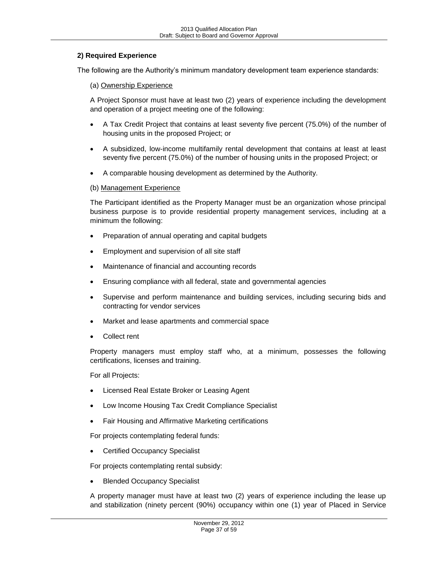#### **2) Required Experience**

The following are the Authority's minimum mandatory development team experience standards:

(a) Ownership Experience

A Project Sponsor must have at least two (2) years of experience including the development and operation of a project meeting one of the following:

- A Tax Credit Project that contains at least seventy five percent (75.0%) of the number of housing units in the proposed Project; or
- A subsidized, low-income multifamily rental development that contains at least at least seventy five percent (75.0%) of the number of housing units in the proposed Project; or
- A comparable housing development as determined by the Authority.

#### (b) Management Experience

The Participant identified as the Property Manager must be an organization whose principal business purpose is to provide residential property management services, including at a minimum the following:

- Preparation of annual operating and capital budgets
- Employment and supervision of all site staff
- Maintenance of financial and accounting records
- Ensuring compliance with all federal, state and governmental agencies
- Supervise and perform maintenance and building services, including securing bids and contracting for vendor services
- Market and lease apartments and commercial space
- Collect rent

Property managers must employ staff who, at a minimum, possesses the following certifications, licenses and training.

For all Projects:

- Licensed Real Estate Broker or Leasing Agent
- Low Income Housing Tax Credit Compliance Specialist
- Fair Housing and Affirmative Marketing certifications

For projects contemplating federal funds:

Certified Occupancy Specialist

For projects contemplating rental subsidy:

Blended Occupancy Specialist

A property manager must have at least two (2) years of experience including the lease up and stabilization (ninety percent (90%) occupancy within one (1) year of Placed in Service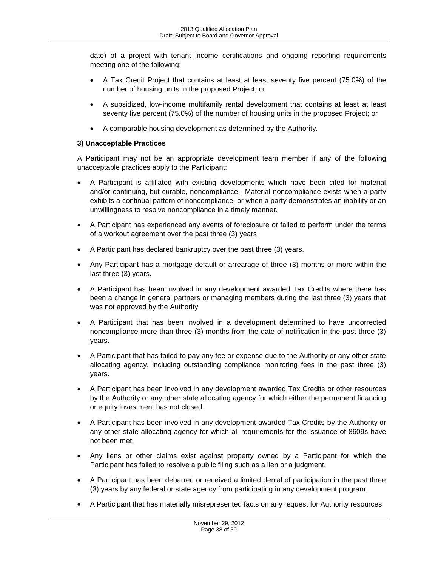date) of a project with tenant income certifications and ongoing reporting requirements meeting one of the following:

- A Tax Credit Project that contains at least at least seventy five percent (75.0%) of the number of housing units in the proposed Project; or
- A subsidized, low-income multifamily rental development that contains at least at least seventy five percent (75.0%) of the number of housing units in the proposed Project; or
- A comparable housing development as determined by the Authority.

# **3) Unacceptable Practices**

A Participant may not be an appropriate development team member if any of the following unacceptable practices apply to the Participant:

- A Participant is affiliated with existing developments which have been cited for material and/or continuing, but curable, noncompliance. Material noncompliance exists when a party exhibits a continual pattern of noncompliance, or when a party demonstrates an inability or an unwillingness to resolve noncompliance in a timely manner.
- A Participant has experienced any events of foreclosure or failed to perform under the terms of a workout agreement over the past three (3) years.
- A Participant has declared bankruptcy over the past three (3) years.
- Any Participant has a mortgage default or arrearage of three (3) months or more within the last three (3) years.
- A Participant has been involved in any development awarded Tax Credits where there has been a change in general partners or managing members during the last three (3) years that was not approved by the Authority.
- A Participant that has been involved in a development determined to have uncorrected noncompliance more than three (3) months from the date of notification in the past three (3) years.
- A Participant that has failed to pay any fee or expense due to the Authority or any other state allocating agency, including outstanding compliance monitoring fees in the past three (3) years.
- A Participant has been involved in any development awarded Tax Credits or other resources by the Authority or any other state allocating agency for which either the permanent financing or equity investment has not closed.
- A Participant has been involved in any development awarded Tax Credits by the Authority or any other state allocating agency for which all requirements for the issuance of 8609s have not been met.
- Any liens or other claims exist against property owned by a Participant for which the Participant has failed to resolve a public filing such as a lien or a judgment.
- A Participant has been debarred or received a limited denial of participation in the past three (3) years by any federal or state agency from participating in any development program.
- A Participant that has materially misrepresented facts on any request for Authority resources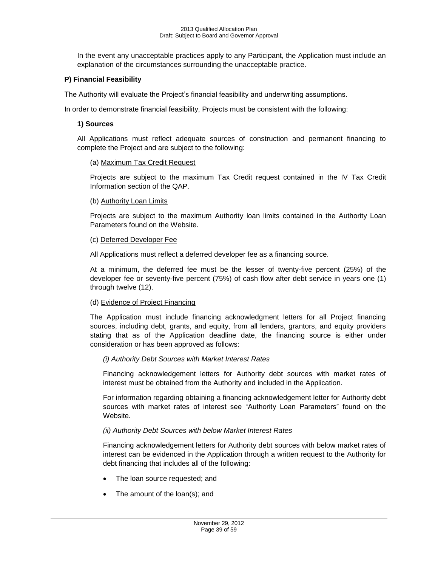In the event any unacceptable practices apply to any Participant, the Application must include an explanation of the circumstances surrounding the unacceptable practice.

## <span id="page-38-0"></span>**P) Financial Feasibility**

The Authority will evaluate the Project's financial feasibility and underwriting assumptions.

In order to demonstrate financial feasibility, Projects must be consistent with the following:

#### **1) Sources**

All Applications must reflect adequate sources of construction and permanent financing to complete the Project and are subject to the following:

#### (a) Maximum Tax Credit Request

Projects are subject to the maximum Tax Credit request contained in the IV Tax Credit Information section of the QAP.

#### (b) Authority Loan Limits

Projects are subject to the maximum Authority loan limits contained in the Authority Loan Parameters found on the Website.

#### (c) Deferred Developer Fee

All Applications must reflect a deferred developer fee as a financing source.

At a minimum, the deferred fee must be the lesser of twenty-five percent (25%) of the developer fee or seventy-five percent (75%) of cash flow after debt service in years one (1) through twelve (12).

### (d) Evidence of Project Financing

The Application must include financing acknowledgment letters for all Project financing sources, including debt, grants, and equity, from all lenders, grantors, and equity providers stating that as of the Application deadline date, the financing source is either under consideration or has been approved as follows:

#### *(i) Authority Debt Sources with Market Interest Rates*

Financing acknowledgement letters for Authority debt sources with market rates of interest must be obtained from the Authority and included in the Application.

For information regarding obtaining a financing acknowledgement letter for Authority debt sources with market rates of interest see "Authority Loan Parameters" found on the Website.

### *(ii) Authority Debt Sources with below Market Interest Rates*

Financing acknowledgement letters for Authority debt sources with below market rates of interest can be evidenced in the Application through a written request to the Authority for debt financing that includes all of the following:

- The loan source requested; and
- The amount of the loan(s); and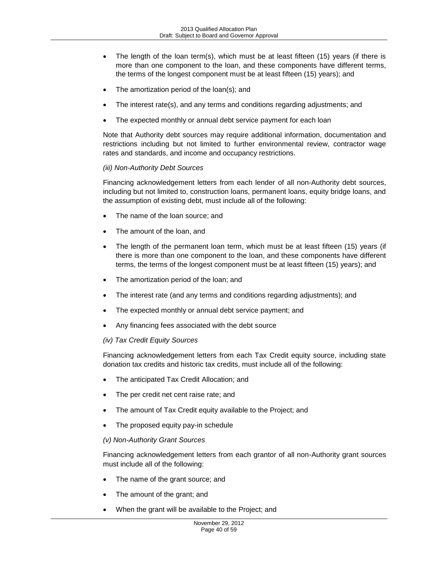- The length of the loan term(s), which must be at least fifteen (15) years (if there is more than one component to the loan, and these components have different terms, the terms of the longest component must be at least fifteen (15) years); and
- The amortization period of the loan(s); and
- The interest rate(s), and any terms and conditions regarding adjustments; and
- The expected monthly or annual debt service payment for each loan

Note that Authority debt sources may require additional information, documentation and restrictions including but not limited to further environmental review, contractor wage rates and standards, and income and occupancy restrictions.

### *(iii) Non-Authority Debt Sources*

Financing acknowledgement letters from each lender of all non-Authority debt sources, including but not limited to, construction loans, permanent loans, equity bridge loans, and the assumption of existing debt, must include all of the following:

- The name of the loan source; and
- The amount of the loan, and
- The length of the permanent loan term, which must be at least fifteen (15) years (if there is more than one component to the loan, and these components have different terms, the terms of the longest component must be at least fifteen (15) years); and
- The amortization period of the loan; and
- The interest rate (and any terms and conditions regarding adjustments); and
- The expected monthly or annual debt service payment; and
- Any financing fees associated with the debt source

#### *(iv) Tax Credit Equity Sources*

Financing acknowledgement letters from each Tax Credit equity source, including state donation tax credits and historic tax credits, must include all of the following:

- The anticipated Tax Credit Allocation; and
- The per credit net cent raise rate; and
- The amount of Tax Credit equity available to the Project; and
- The proposed equity pay-in schedule

#### *(v) Non-Authority Grant Sources*

Financing acknowledgement letters from each grantor of all non-Authority grant sources must include all of the following:

- The name of the grant source; and
- The amount of the grant; and
- When the grant will be available to the Project; and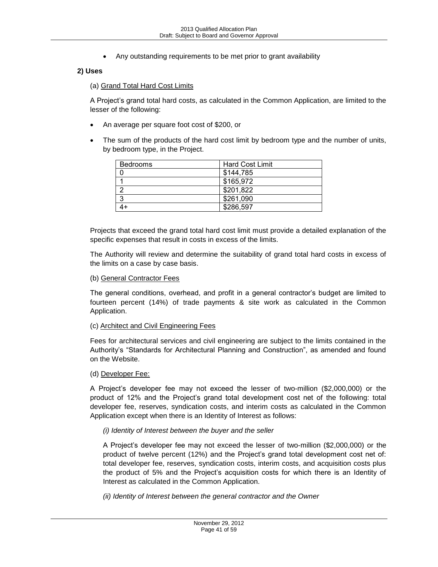Any outstanding requirements to be met prior to grant availability

# **2) Uses**

#### (a) Grand Total Hard Cost Limits

A Project's grand total hard costs, as calculated in the Common Application, are limited to the lesser of the following:

- An average per square foot cost of \$200, or
- The sum of the products of the hard cost limit by bedroom type and the number of units, by bedroom type, in the Project.

| <b>Bedrooms</b> | <b>Hard Cost Limit</b> |
|-----------------|------------------------|
|                 | \$144,785              |
|                 | \$165,972              |
| ာ               | \$201,822              |
| -3              | \$261,090              |
|                 | \$286,597              |

Projects that exceed the grand total hard cost limit must provide a detailed explanation of the specific expenses that result in costs in excess of the limits.

The Authority will review and determine the suitability of grand total hard costs in excess of the limits on a case by case basis.

#### (b) General Contractor Fees

The general conditions, overhead, and profit in a general contractor's budget are limited to fourteen percent (14%) of trade payments & site work as calculated in the Common Application.

#### (c) Architect and Civil Engineering Fees

Fees for architectural services and civil engineering are subject to the limits contained in the Authority's "Standards for Architectural Planning and Construction", as amended and found on the Website.

#### (d) Developer Fee:

A Project's developer fee may not exceed the lesser of two-million (\$2,000,000) or the product of 12% and the Project's grand total development cost net of the following: total developer fee, reserves, syndication costs, and interim costs as calculated in the Common Application except when there is an Identity of Interest as follows:

#### *(i) Identity of Interest between the buyer and the seller*

A Project's developer fee may not exceed the lesser of two-million (\$2,000,000) or the product of twelve percent (12%) and the Project's grand total development cost net of: total developer fee, reserves, syndication costs, interim costs, and acquisition costs plus the product of 5% and the Project's acquisition costs for which there is an Identity of Interest as calculated in the Common Application.

*(ii) Identity of Interest between the general contractor and the Owner*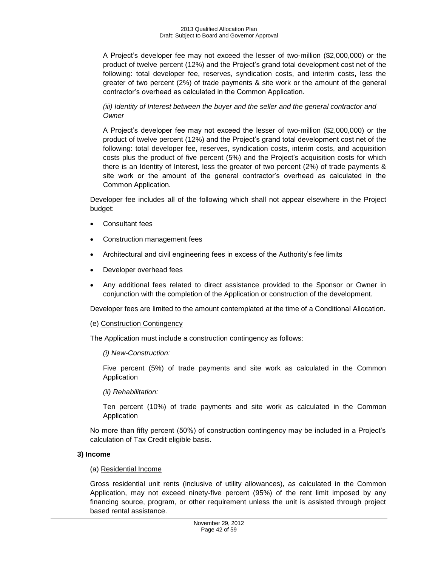A Project's developer fee may not exceed the lesser of two-million (\$2,000,000) or the product of twelve percent (12%) and the Project's grand total development cost net of the following: total developer fee, reserves, syndication costs, and interim costs, less the greater of two percent (2%) of trade payments & site work or the amount of the general contractor's overhead as calculated in the Common Application.

## *(iii) Identity of Interest between the buyer and the seller and the general contractor and Owner*

A Project's developer fee may not exceed the lesser of two-million (\$2,000,000) or the product of twelve percent (12%) and the Project's grand total development cost net of the following: total developer fee, reserves, syndication costs, interim costs, and acquisition costs plus the product of five percent (5%) and the Project's acquisition costs for which there is an Identity of Interest, less the greater of two percent (2%) of trade payments & site work or the amount of the general contractor's overhead as calculated in the Common Application.

Developer fee includes all of the following which shall not appear elsewhere in the Project budget:

- Consultant fees
- Construction management fees
- Architectural and civil engineering fees in excess of the Authority's fee limits
- Developer overhead fees
- Any additional fees related to direct assistance provided to the Sponsor or Owner in conjunction with the completion of the Application or construction of the development.

Developer fees are limited to the amount contemplated at the time of a Conditional Allocation.

### (e) Construction Contingency

The Application must include a construction contingency as follows:

#### *(i) New-Construction:*

Five percent (5%) of trade payments and site work as calculated in the Common Application

### *(ii) Rehabilitation:*

Ten percent (10%) of trade payments and site work as calculated in the Common Application

No more than fifty percent (50%) of construction contingency may be included in a Project's calculation of Tax Credit eligible basis.

### **3) Income**

### (a) Residential Income

Gross residential unit rents (inclusive of utility allowances), as calculated in the Common Application, may not exceed ninety-five percent (95%) of the rent limit imposed by any financing source, program, or other requirement unless the unit is assisted through project based rental assistance.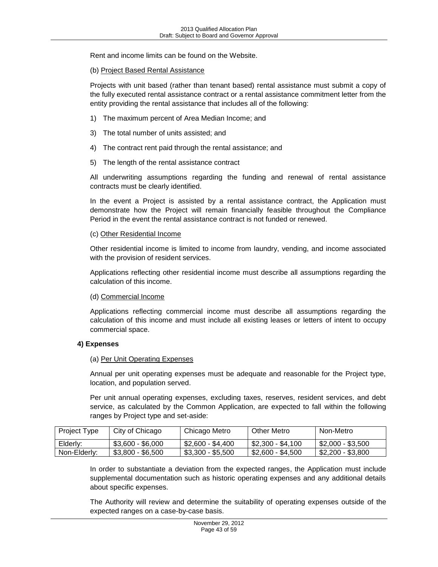Rent and income limits can be found on the Website.

#### (b) Project Based Rental Assistance

Projects with unit based (rather than tenant based) rental assistance must submit a copy of the fully executed rental assistance contract or a rental assistance commitment letter from the entity providing the rental assistance that includes all of the following:

- 1) The maximum percent of Area Median Income; and
- 3) The total number of units assisted; and
- 4) The contract rent paid through the rental assistance; and
- 5) The length of the rental assistance contract

All underwriting assumptions regarding the funding and renewal of rental assistance contracts must be clearly identified.

In the event a Project is assisted by a rental assistance contract, the Application must demonstrate how the Project will remain financially feasible throughout the Compliance Period in the event the rental assistance contract is not funded or renewed.

#### (c) Other Residential Income

Other residential income is limited to income from laundry, vending, and income associated with the provision of resident services.

Applications reflecting other residential income must describe all assumptions regarding the calculation of this income.

#### (d) Commercial Income

Applications reflecting commercial income must describe all assumptions regarding the calculation of this income and must include all existing leases or letters of intent to occupy commercial space.

### **4) Expenses**

#### (a) Per Unit Operating Expenses

Annual per unit operating expenses must be adequate and reasonable for the Project type, location, and population served.

Per unit annual operating expenses, excluding taxes, reserves, resident services, and debt service, as calculated by the Common Application, are expected to fall within the following ranges by Project type and set-aside:

| Project Type | City of Chicago   | Chicago Metro     | Other Metro       | Non-Metro         |
|--------------|-------------------|-------------------|-------------------|-------------------|
| Elderly:     | \$3.600 - \$6.000 | \$2.600 - \$4.400 | \$2.300 - \$4.100 | \$2,000 - \$3,500 |
| Non-Elderly: | $$3,800 - $6,500$ | \$3,300 - \$5,500 | \$2.600 - \$4.500 | \$2,200 - \$3,800 |

In order to substantiate a deviation from the expected ranges, the Application must include supplemental documentation such as historic operating expenses and any additional details about specific expenses.

The Authority will review and determine the suitability of operating expenses outside of the expected ranges on a case-by-case basis.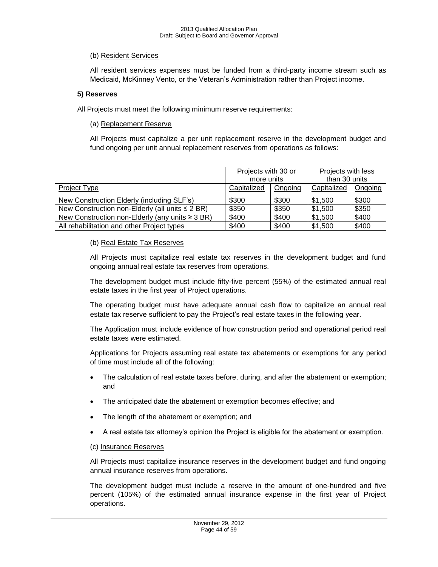## (b) Resident Services

All resident services expenses must be funded from a third-party income stream such as Medicaid, McKinney Vento, or the Veteran's Administration rather than Project income.

#### **5) Reserves**

All Projects must meet the following minimum reserve requirements:

(a) Replacement Reserve

All Projects must capitalize a per unit replacement reserve in the development budget and fund ongoing per unit annual replacement reserves from operations as follows:

|                                                      | Projects with 30 or |         | Projects with less |         |
|------------------------------------------------------|---------------------|---------|--------------------|---------|
|                                                      | more units          |         | than 30 units      |         |
| Project Type                                         | Capitalized         | Ongoing | Capitalized        | Ongoing |
| New Construction Elderly (including SLF's)           | \$300               | \$300   | \$1,500            | \$300   |
| New Construction non-Elderly (all units $\leq 2$ BR) | \$350               | \$350   | \$1,500            | \$350   |
| New Construction non-Elderly (any units $\geq 3$ BR) | \$400               | \$400   | \$1,500            | \$400   |
| All rehabilitation and other Project types           | \$400               | \$400   | \$1,500            | \$400   |

#### (b) Real Estate Tax Reserves

All Projects must capitalize real estate tax reserves in the development budget and fund ongoing annual real estate tax reserves from operations.

The development budget must include fifty-five percent (55%) of the estimated annual real estate taxes in the first year of Project operations.

The operating budget must have adequate annual cash flow to capitalize an annual real estate tax reserve sufficient to pay the Project's real estate taxes in the following year.

The Application must include evidence of how construction period and operational period real estate taxes were estimated.

Applications for Projects assuming real estate tax abatements or exemptions for any period of time must include all of the following:

- The calculation of real estate taxes before, during, and after the abatement or exemption; and
- The anticipated date the abatement or exemption becomes effective; and
- The length of the abatement or exemption; and
- A real estate tax attorney's opinion the Project is eligible for the abatement or exemption.

#### (c) Insurance Reserves

All Projects must capitalize insurance reserves in the development budget and fund ongoing annual insurance reserves from operations.

The development budget must include a reserve in the amount of one-hundred and five percent (105%) of the estimated annual insurance expense in the first year of Project operations.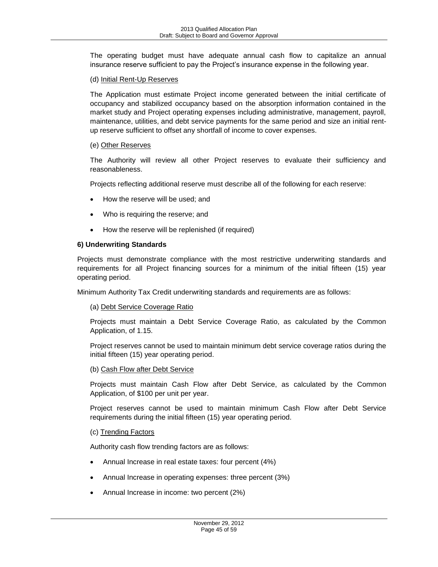The operating budget must have adequate annual cash flow to capitalize an annual insurance reserve sufficient to pay the Project's insurance expense in the following year.

#### (d) Initial Rent-Up Reserves

The Application must estimate Project income generated between the initial certificate of occupancy and stabilized occupancy based on the absorption information contained in the market study and Project operating expenses including administrative, management, payroll, maintenance, utilities, and debt service payments for the same period and size an initial rentup reserve sufficient to offset any shortfall of income to cover expenses.

#### (e) Other Reserves

The Authority will review all other Project reserves to evaluate their sufficiency and reasonableness.

Projects reflecting additional reserve must describe all of the following for each reserve:

- How the reserve will be used; and
- Who is requiring the reserve; and
- How the reserve will be replenished (if required)

### **6) Underwriting Standards**

Projects must demonstrate compliance with the most restrictive underwriting standards and requirements for all Project financing sources for a minimum of the initial fifteen (15) year operating period.

Minimum Authority Tax Credit underwriting standards and requirements are as follows:

#### (a) Debt Service Coverage Ratio

Projects must maintain a Debt Service Coverage Ratio, as calculated by the Common Application, of 1.15.

Project reserves cannot be used to maintain minimum debt service coverage ratios during the initial fifteen (15) year operating period.

#### (b) Cash Flow after Debt Service

Projects must maintain Cash Flow after Debt Service, as calculated by the Common Application, of \$100 per unit per year.

Project reserves cannot be used to maintain minimum Cash Flow after Debt Service requirements during the initial fifteen (15) year operating period.

#### (c) Trending Factors

Authority cash flow trending factors are as follows:

- Annual Increase in real estate taxes: four percent (4%)
- Annual Increase in operating expenses: three percent (3%)
- Annual Increase in income: two percent (2%)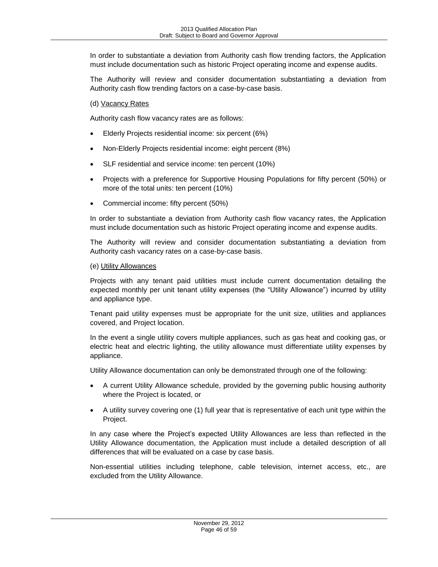In order to substantiate a deviation from Authority cash flow trending factors, the Application must include documentation such as historic Project operating income and expense audits.

The Authority will review and consider documentation substantiating a deviation from Authority cash flow trending factors on a case-by-case basis.

### (d) Vacancy Rates

Authority cash flow vacancy rates are as follows:

- Elderly Projects residential income: six percent (6%)
- Non-Elderly Projects residential income: eight percent (8%)
- SLF residential and service income: ten percent (10%)
- Projects with a preference for Supportive Housing Populations for fifty percent (50%) or more of the total units: ten percent (10%)
- Commercial income: fifty percent (50%)

In order to substantiate a deviation from Authority cash flow vacancy rates, the Application must include documentation such as historic Project operating income and expense audits.

The Authority will review and consider documentation substantiating a deviation from Authority cash vacancy rates on a case-by-case basis.

#### (e) Utility Allowances

Projects with any tenant paid utilities must include current documentation detailing the expected monthly per unit tenant utility expenses (the "Utility Allowance") incurred by utility and appliance type.

Tenant paid utility expenses must be appropriate for the unit size, utilities and appliances covered, and Project location.

In the event a single utility covers multiple appliances, such as gas heat and cooking gas, or electric heat and electric lighting, the utility allowance must differentiate utility expenses by appliance.

Utility Allowance documentation can only be demonstrated through one of the following:

- A current Utility Allowance schedule, provided by the governing public housing authority where the Project is located, or
- A utility survey covering one (1) full year that is representative of each unit type within the Project.

In any case where the Project's expected Utility Allowances are less than reflected in the Utility Allowance documentation, the Application must include a detailed description of all differences that will be evaluated on a case by case basis.

Non-essential utilities including telephone, cable television, internet access, etc., are excluded from the Utility Allowance.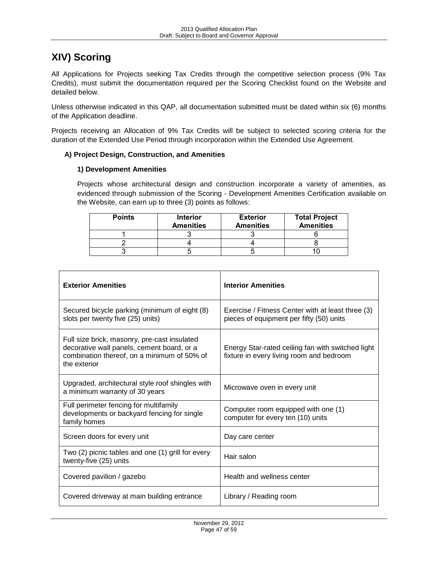# <span id="page-46-0"></span>**XIV) Scoring**

All Applications for Projects seeking Tax Credits through the competitive selection process (9% Tax Credits), must submit the documentation required per the Scoring Checklist found on the Website and detailed below.

Unless otherwise indicated in this QAP, all documentation submitted must be dated within six (6) months of the Application deadline.

Projects receiving an Allocation of 9% Tax Credits will be subject to selected scoring criteria for the duration of the Extended Use Period through incorporation within the Extended Use Agreement.

### <span id="page-46-1"></span>**A) Project Design, Construction, and Amenities**

### **1) Development Amenities**

Projects whose architectural design and construction incorporate a variety of amenities, as evidenced through submission of the Scoring - Development Amenities Certification available on the Website, can earn up to three (3) points as follows:

| <b>Points</b> | <b>Interior</b><br><b>Amenities</b> | <b>Exterior</b><br><b>Amenities</b> | <b>Total Project</b><br><b>Amenities</b> |
|---------------|-------------------------------------|-------------------------------------|------------------------------------------|
|               |                                     |                                     |                                          |
|               |                                     |                                     |                                          |
|               |                                     |                                     |                                          |

| <b>Exterior Amenities</b>                                                                                                                                 | <b>Interior Amenities</b>                                                                     |
|-----------------------------------------------------------------------------------------------------------------------------------------------------------|-----------------------------------------------------------------------------------------------|
| Secured bicycle parking (minimum of eight (8)<br>slots per twenty five (25) units)                                                                        | Exercise / Fitness Center with at least three (3)<br>pieces of equipment per fifty (50) units |
| Full size brick, masonry, pre-cast insulated<br>decorative wall panels, cement board, or a<br>combination thereof, on a minimum of 50% of<br>the exterior | Energy Star-rated ceiling fan with switched light<br>fixture in every living room and bedroom |
| Upgraded, architectural style roof shingles with<br>a minimum warranty of 30 years                                                                        | Microwave oven in every unit                                                                  |
| Full perimeter fencing for multifamily<br>developments or backyard fencing for single<br>family homes                                                     | Computer room equipped with one (1)<br>computer for every ten (10) units                      |
| Screen doors for every unit                                                                                                                               | Day care center                                                                               |
| Two (2) picnic tables and one (1) grill for every<br>twenty-five (25) units                                                                               | Hair salon                                                                                    |
| Covered pavilion / gazebo                                                                                                                                 | Health and wellness center                                                                    |
| Covered driveway at main building entrance                                                                                                                | Library / Reading room                                                                        |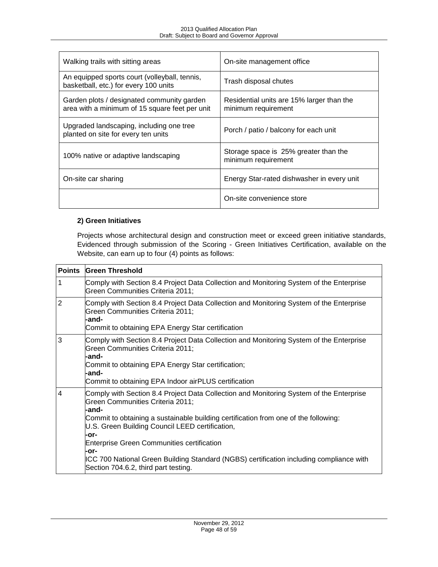| Walking trails with sitting areas                                                            | On-site management office                                        |
|----------------------------------------------------------------------------------------------|------------------------------------------------------------------|
| An equipped sports court (volleyball, tennis,<br>basketball, etc.) for every 100 units       | Trash disposal chutes                                            |
| Garden plots / designated community garden<br>area with a minimum of 15 square feet per unit | Residential units are 15% larger than the<br>minimum requirement |
| Upgraded landscaping, including one tree<br>planted on site for every ten units              | Porch / patio / balcony for each unit                            |
| 100% native or adaptive landscaping                                                          | Storage space is 25% greater than the<br>minimum requirement     |
| On-site car sharing                                                                          | Energy Star-rated dishwasher in every unit                       |
|                                                                                              | On-site convenience store                                        |

# **2) Green Initiatives**

Projects whose architectural design and construction meet or exceed green initiative standards, Evidenced through submission of the Scoring - Green Initiatives Certification, available on the Website, can earn up to four (4) points as follows:

| <b>Points</b> | <b>Green Threshold</b>                                                                                                                                                                                                                                                                                                                                                                                                                                                                 |
|---------------|----------------------------------------------------------------------------------------------------------------------------------------------------------------------------------------------------------------------------------------------------------------------------------------------------------------------------------------------------------------------------------------------------------------------------------------------------------------------------------------|
| 1             | Comply with Section 8.4 Project Data Collection and Monitoring System of the Enterprise<br>Green Communities Criteria 2011;                                                                                                                                                                                                                                                                                                                                                            |
| 2             | Comply with Section 8.4 Project Data Collection and Monitoring System of the Enterprise<br>Green Communities Criteria 2011;<br>-and-<br>Commit to obtaining EPA Energy Star certification                                                                                                                                                                                                                                                                                              |
| 3             | Comply with Section 8.4 Project Data Collection and Monitoring System of the Enterprise<br>Green Communities Criteria 2011;<br>-and-<br>Commit to obtaining EPA Energy Star certification;<br>-and-<br>Commit to obtaining EPA Indoor airPLUS certification                                                                                                                                                                                                                            |
| 4             | Comply with Section 8.4 Project Data Collection and Monitoring System of the Enterprise<br>Green Communities Criteria 2011;<br>-and-<br>Commit to obtaining a sustainable building certification from one of the following:<br>U.S. Green Building Council LEED certification,<br>-or-<br><b>Enterprise Green Communities certification</b><br>-or-<br>ICC 700 National Green Building Standard (NGBS) certification including compliance with<br>Section 704.6.2, third part testing. |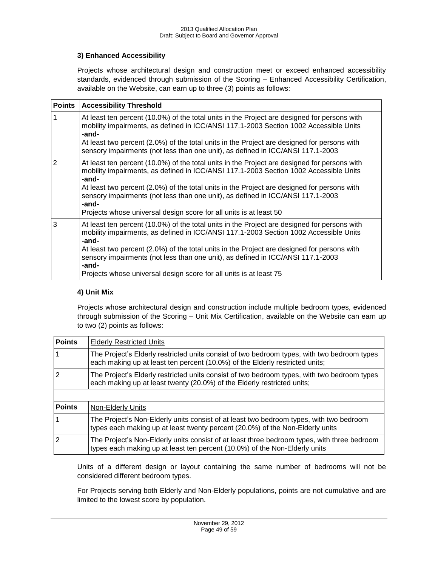# **3) Enhanced Accessibility**

Projects whose architectural design and construction meet or exceed enhanced accessibility standards, evidenced through submission of the Scoring – Enhanced Accessibility Certification, available on the Website, can earn up to three (3) points as follows:

| <b>Points</b>  | <b>Accessibility Threshold</b>                                                                                                                                                                 |
|----------------|------------------------------------------------------------------------------------------------------------------------------------------------------------------------------------------------|
| 1              | At least ten percent (10.0%) of the total units in the Project are designed for persons with<br>mobility impairments, as defined in ICC/ANSI 117.1-2003 Section 1002 Accessible Units<br>-and- |
|                | At least two percent (2.0%) of the total units in the Project are designed for persons with<br>sensory impairments (not less than one unit), as defined in ICC/ANSI 117.1-2003                 |
| $\overline{2}$ | At least ten percent (10.0%) of the total units in the Project are designed for persons with<br>mobility impairments, as defined in ICC/ANSI 117.1-2003 Section 1002 Accessible Units<br>-and- |
|                | At least two percent (2.0%) of the total units in the Project are designed for persons with<br>sensory impairments (not less than one unit), as defined in ICC/ANSI 117.1-2003<br>-and-        |
|                | Projects whose universal design score for all units is at least 50                                                                                                                             |
| 3              | At least ten percent (10.0%) of the total units in the Project are designed for persons with<br>mobility impairments, as defined in ICC/ANSI 117.1-2003 Section 1002 Accessible Units<br>-and- |
|                | At least two percent (2.0%) of the total units in the Project are designed for persons with<br>sensory impairments (not less than one unit), as defined in ICC/ANSI 117.1-2003<br>-and-        |
|                | Projects whose universal design score for all units is at least 75                                                                                                                             |

### **4) Unit Mix**

Projects whose architectural design and construction include multiple bedroom types, evidenced through submission of the Scoring – Unit Mix Certification, available on the Website can earn up to two (2) points as follows:

| <b>Points</b>  | <b>Elderly Restricted Units</b>                                                                                                                                             |
|----------------|-----------------------------------------------------------------------------------------------------------------------------------------------------------------------------|
|                | The Project's Elderly restricted units consist of two bedroom types, with two bedroom types<br>each making up at least ten percent (10.0%) of the Elderly restricted units; |
| 2              | The Project's Elderly restricted units consist of two bedroom types, with two bedroom types<br>each making up at least twenty (20.0%) of the Elderly restricted units;      |
|                |                                                                                                                                                                             |
| <b>Points</b>  | <u>Non-Elderly Units</u>                                                                                                                                                    |
|                | The Project's Non-Elderly units consist of at least two bedroom types, with two bedroom<br>types each making up at least twenty percent (20.0%) of the Non-Elderly units    |
| $\overline{2}$ | The Project's Non-Elderly units consist of at least three bedroom types, with three bedroom<br>types each making up at least ten percent (10.0%) of the Non-Elderly units   |

Units of a different design or layout containing the same number of bedrooms will not be considered different bedroom types.

For Projects serving both Elderly and Non-Elderly populations, points are not cumulative and are limited to the lowest score by population.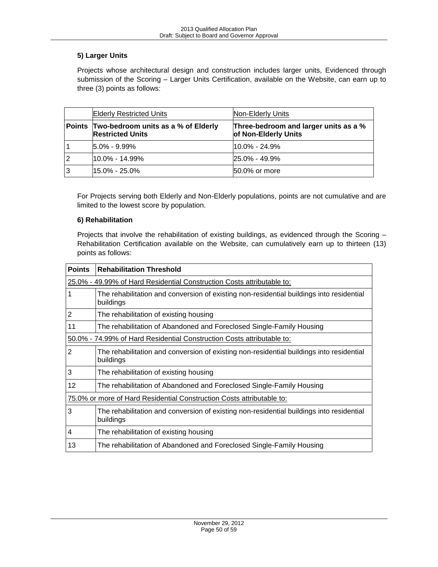# **5) Larger Units**

Projects whose architectural design and construction includes larger units, Evidenced through submission of the Scoring – Larger Units Certification, available on the Website, can earn up to three (3) points as follows:

|   | <b>Elderly Restricted Units</b>                                       | Non-Elderly Units                                             |
|---|-----------------------------------------------------------------------|---------------------------------------------------------------|
|   | Points Two-bedroom units as a % of Elderly<br><b>Restricted Units</b> | Three-bedroom and larger units as a %<br>of Non-Elderly Units |
|   | $5.0\% - 9.99\%$                                                      | l10.0% - 24.9%                                                |
| 2 | $10.0\% - 14.99\%$                                                    | 25.0% - 49.9%                                                 |
| 3 | $15.0\% - 25.0\%$                                                     | 50.0% or more                                                 |

For Projects serving both Elderly and Non-Elderly populations, points are not cumulative and are limited to the lowest score by population.

# **6) Rehabilitation**

Projects that involve the rehabilitation of existing buildings, as evidenced through the Scoring – Rehabilitation Certification available on the Website, can cumulatively earn up to thirteen (13) points as follows:

| <b>Points</b> | <b>Rehabilitation Threshold</b>                                                                       |  |  |
|---------------|-------------------------------------------------------------------------------------------------------|--|--|
|               | 25.0% - 49.99% of Hard Residential Construction Costs attributable to:                                |  |  |
| 1             | The rehabilitation and conversion of existing non-residential buildings into residential<br>buildings |  |  |
| 2             | The rehabilitation of existing housing                                                                |  |  |
| 11            | The rehabilitation of Abandoned and Foreclosed Single-Family Housing                                  |  |  |
|               | 50.0% - 74.99% of Hard Residential Construction Costs attributable to:                                |  |  |
| 2             | The rehabilitation and conversion of existing non-residential buildings into residential<br>buildings |  |  |
| 3             | The rehabilitation of existing housing                                                                |  |  |
| 12            | The rehabilitation of Abandoned and Foreclosed Single-Family Housing                                  |  |  |
|               | 75.0% or more of Hard Residential Construction Costs attributable to:                                 |  |  |
| 3             | The rehabilitation and conversion of existing non-residential buildings into residential<br>buildings |  |  |
| 4             | The rehabilitation of existing housing                                                                |  |  |
| 13            | The rehabilitation of Abandoned and Foreclosed Single-Family Housing                                  |  |  |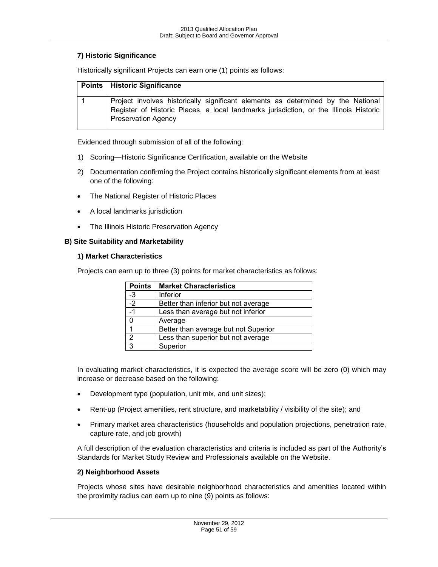### **7) Historic Significance**

| <b>Points   Historic Significance</b>                                                                                                                                                                   |
|---------------------------------------------------------------------------------------------------------------------------------------------------------------------------------------------------------|
| Project involves historically significant elements as determined by the National<br>Register of Historic Places, a local landmarks jurisdiction, or the Illinois Historic<br><b>Preservation Agency</b> |

Historically significant Projects can earn one (1) points as follows:

Evidenced through submission of all of the following:

- 1) Scoring—Historic Significance Certification, available on the Website
- 2) Documentation confirming the Project contains historically significant elements from at least one of the following:
- The National Register of Historic Places
- A local landmarks jurisdiction
- The Illinois Historic Preservation Agency

#### <span id="page-50-0"></span>**B) Site Suitability and Marketability**

#### **1) Market Characteristics**

Projects can earn up to three (3) points for market characteristics as follows:

| <b>Points</b>   | <b>Market Characteristics</b>        |
|-----------------|--------------------------------------|
| $-3$            | Inferior                             |
| $\overline{-2}$ | Better than inferior but not average |
| $-1$            | Less than average but not inferior   |
| 0               | Average                              |
|                 | Better than average but not Superior |
| $\overline{2}$  | Less than superior but not average   |
| 3               | Superior                             |

In evaluating market characteristics, it is expected the average score will be zero (0) which may increase or decrease based on the following:

- Development type (population, unit mix, and unit sizes);
- Rent-up (Project amenities, rent structure, and marketability / visibility of the site); and
- Primary market area characteristics (households and population projections, penetration rate, capture rate, and job growth)

A full description of the evaluation characteristics and criteria is included as part of the Authority's Standards for Market Study Review and Professionals available on the Website.

#### **2) Neighborhood Assets**

Projects whose sites have desirable neighborhood characteristics and amenities located within the proximity radius can earn up to nine (9) points as follows: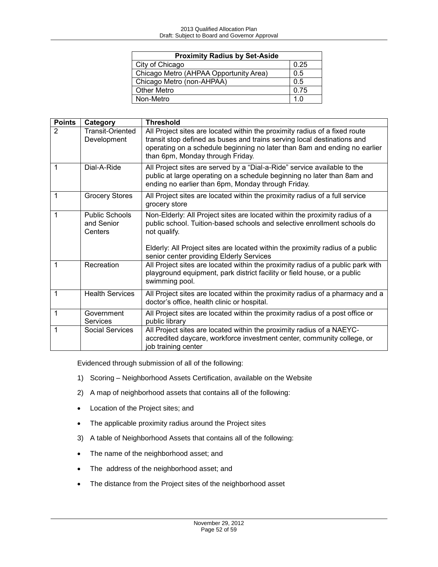| <b>Proximity Radius by Set-Aside</b>   |      |
|----------------------------------------|------|
| City of Chicago                        | 0.25 |
| Chicago Metro (AHPAA Opportunity Area) | 0.5  |
| Chicago Metro (non-AHPAA)              | 0.5  |
| <b>Other Metro</b>                     | 0.75 |
| Non-Metro                              | 1 በ  |

| <b>Points</b>  | Category                                       | <b>Threshold</b>                                                                                                                                                                                                                                                       |
|----------------|------------------------------------------------|------------------------------------------------------------------------------------------------------------------------------------------------------------------------------------------------------------------------------------------------------------------------|
| $\overline{2}$ | <b>Transit-Oriented</b><br>Development         | All Project sites are located within the proximity radius of a fixed route<br>transit stop defined as buses and trains serving local destinations and<br>operating on a schedule beginning no later than 8am and ending no earlier<br>than 6pm, Monday through Friday. |
| 1              | Dial-A-Ride                                    | All Project sites are served by a "Dial-a-Ride" service available to the<br>public at large operating on a schedule beginning no later than 8am and<br>ending no earlier than 6pm, Monday through Friday.                                                              |
| 1              | <b>Grocery Stores</b>                          | All Project sites are located within the proximity radius of a full service<br>grocery store                                                                                                                                                                           |
| 1              | <b>Public Schools</b><br>and Senior<br>Centers | Non-Elderly: All Project sites are located within the proximity radius of a<br>public school. Tuition-based schools and selective enrollment schools do<br>not qualify.<br>Elderly: All Project sites are located within the proximity radius of a public              |
|                |                                                | senior center providing Elderly Services                                                                                                                                                                                                                               |
| 1              | Recreation                                     | All Project sites are located within the proximity radius of a public park with<br>playground equipment, park district facility or field house, or a public<br>swimming pool.                                                                                          |
| 1              | <b>Health Services</b>                         | All Project sites are located within the proximity radius of a pharmacy and a<br>doctor's office, health clinic or hospital.                                                                                                                                           |
| $\mathbf{1}$   | Government<br>Services                         | All Project sites are located within the proximity radius of a post office or<br>public library                                                                                                                                                                        |
| 1              | <b>Social Services</b>                         | All Project sites are located within the proximity radius of a NAEYC-<br>accredited daycare, workforce investment center, community college, or<br>job training center                                                                                                 |

Evidenced through submission of all of the following:

- 1) Scoring Neighborhood Assets Certification, available on the Website
- 2) A map of neighborhood assets that contains all of the following:
- Location of the Project sites; and
- The applicable proximity radius around the Project sites
- 3) A table of Neighborhood Assets that contains all of the following:
- The name of the neighborhood asset; and
- The address of the neighborhood asset; and
- The distance from the Project sites of the neighborhood asset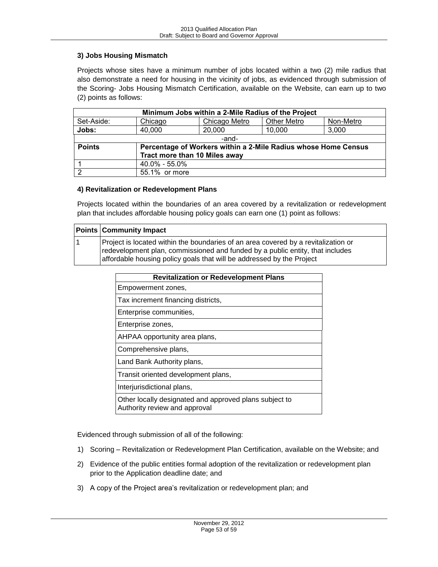## **3) Jobs Housing Mismatch**

Projects whose sites have a minimum number of jobs located within a two (2) mile radius that also demonstrate a need for housing in the vicinity of jobs, as evidenced through submission of the Scoring- Jobs Housing Mismatch Certification, available on the Website, can earn up to two (2) points as follows:

| Minimum Jobs within a 2-Mile Radius of the Project                              |                               |               |                    |           |
|---------------------------------------------------------------------------------|-------------------------------|---------------|--------------------|-----------|
| Set-Aside:                                                                      | Chicago                       | Chicago Metro | <b>Other Metro</b> | Non-Metro |
| Jobs:                                                                           | 40,000                        | 20,000        | 10,000             | 3,000     |
| -and-                                                                           |                               |               |                    |           |
| <b>Points</b><br>Percentage of Workers within a 2-Mile Radius whose Home Census |                               |               |                    |           |
|                                                                                 | Tract more than 10 Miles away |               |                    |           |
|                                                                                 | 40.0% - 55.0%                 |               |                    |           |
| $\overline{2}$                                                                  | 55.1% or more                 |               |                    |           |

#### **4) Revitalization or Redevelopment Plans**

Projects located within the boundaries of an area covered by a revitalization or redevelopment plan that includes affordable housing policy goals can earn one (1) point as follows:

| <b>Points Community Impact</b>                                                                                                                                                                                                               |  |
|----------------------------------------------------------------------------------------------------------------------------------------------------------------------------------------------------------------------------------------------|--|
| Project is located within the boundaries of an area covered by a revitalization or<br>redevelopment plan, commissioned and funded by a public entity, that includes<br>affordable housing policy goals that will be addressed by the Project |  |

| <b>Revitalization or Redevelopment Plans</b>                                            |  |
|-----------------------------------------------------------------------------------------|--|
| Empowerment zones,                                                                      |  |
| Tax increment financing districts,                                                      |  |
| Enterprise communities,                                                                 |  |
| Enterprise zones,                                                                       |  |
| AHPAA opportunity area plans,                                                           |  |
| Comprehensive plans,                                                                    |  |
| Land Bank Authority plans,                                                              |  |
| Transit oriented development plans,                                                     |  |
| Interjurisdictional plans,                                                              |  |
| Other locally designated and approved plans subject to<br>Authority review and approval |  |

Evidenced through submission of all of the following:

- 1) Scoring Revitalization or Redevelopment Plan Certification, available on the Website; and
- 2) Evidence of the public entities formal adoption of the revitalization or redevelopment plan prior to the Application deadline date; and
- 3) A copy of the Project area's revitalization or redevelopment plan; and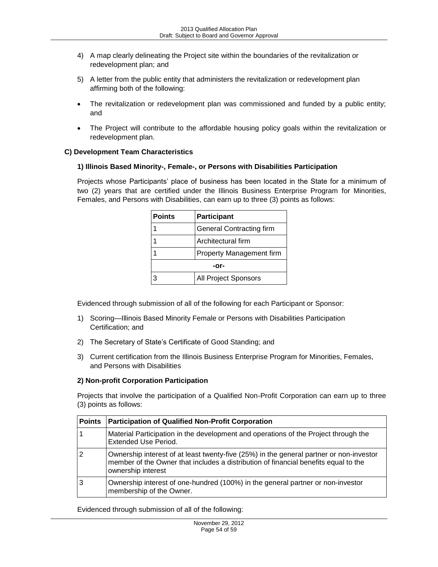- 4) A map clearly delineating the Project site within the boundaries of the revitalization or redevelopment plan; and
- 5) A letter from the public entity that administers the revitalization or redevelopment plan affirming both of the following:
- The revitalization or redevelopment plan was commissioned and funded by a public entity; and
- The Project will contribute to the affordable housing policy goals within the revitalization or redevelopment plan.

### <span id="page-53-0"></span>**C) Development Team Characteristics**

### **1) Illinois Based Minority-, Female-, or Persons with Disabilities Participation**

Projects whose Participants' place of business has been located in the State for a minimum of two (2) years that are certified under the Illinois Business Enterprise Program for Minorities, Females, and Persons with Disabilities, can earn up to three (3) points as follows:

| <b>Points</b> | <b>Participant</b>              |  |
|---------------|---------------------------------|--|
|               | <b>General Contracting firm</b> |  |
|               | Architectural firm              |  |
|               | <b>Property Management firm</b> |  |
| -or-          |                                 |  |
|               | All Project Sponsors            |  |

Evidenced through submission of all of the following for each Participant or Sponsor:

- 1) Scoring—Illinois Based Minority Female or Persons with Disabilities Participation Certification; and
- 2) The Secretary of State's Certificate of Good Standing; and
- 3) Current certification from the Illinois Business Enterprise Program for Minorities, Females, and Persons with Disabilities

### **2) Non-profit Corporation Participation**

Projects that involve the participation of a Qualified Non-Profit Corporation can earn up to three (3) points as follows:

| <b>Points</b> | <b>Participation of Qualified Non-Profit Corporation</b>                                                                                                                                             |
|---------------|------------------------------------------------------------------------------------------------------------------------------------------------------------------------------------------------------|
|               | Material Participation in the development and operations of the Project through the<br><b>Extended Use Period.</b>                                                                                   |
| 2             | Ownership interest of at least twenty-five (25%) in the general partner or non-investor<br>member of the Owner that includes a distribution of financial benefits equal to the<br>ownership interest |
| 3             | Ownership interest of one-hundred (100%) in the general partner or non-investor<br>membership of the Owner.                                                                                          |

Evidenced through submission of all of the following: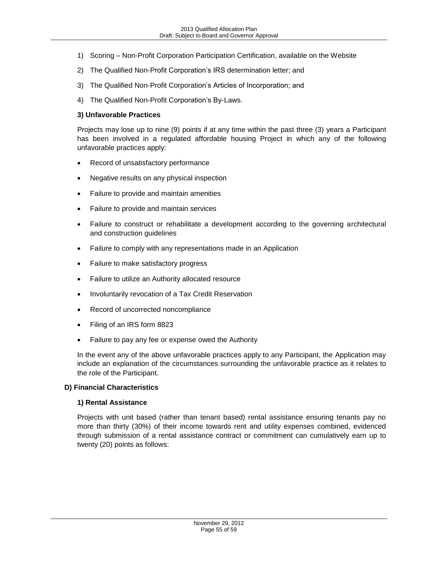- 1) Scoring Non-Profit Corporation Participation Certification, available on the Website
- 2) The Qualified Non-Profit Corporation's IRS determination letter; and
- 3) The Qualified Non-Profit Corporation's Articles of Incorporation; and
- 4) The Qualified Non-Profit Corporation's By-Laws.

## **3) Unfavorable Practices**

Projects may lose up to nine (9) points if at any time within the past three (3) years a Participant has been involved in a regulated affordable housing Project in which any of the following unfavorable practices apply:

- Record of unsatisfactory performance
- Negative results on any physical inspection
- Failure to provide and maintain amenities
- Failure to provide and maintain services
- Failure to construct or rehabilitate a development according to the governing architectural and construction guidelines
- Failure to comply with any representations made in an Application
- Failure to make satisfactory progress
- Failure to utilize an Authority allocated resource
- Involuntarily revocation of a Tax Credit Reservation
- Record of uncorrected noncompliance
- Filing of an IRS form 8823
- Failure to pay any fee or expense owed the Authority

In the event any of the above unfavorable practices apply to any Participant, the Application may include an explanation of the circumstances surrounding the unfavorable practice as it relates to the role of the Participant.

### <span id="page-54-0"></span>**D) Financial Characteristics**

### **1) Rental Assistance**

Projects with unit based (rather than tenant based) rental assistance ensuring tenants pay no more than thirty (30%) of their income towards rent and utility expenses combined, evidenced through submission of a rental assistance contract or commitment can cumulatively earn up to twenty (20) points as follows: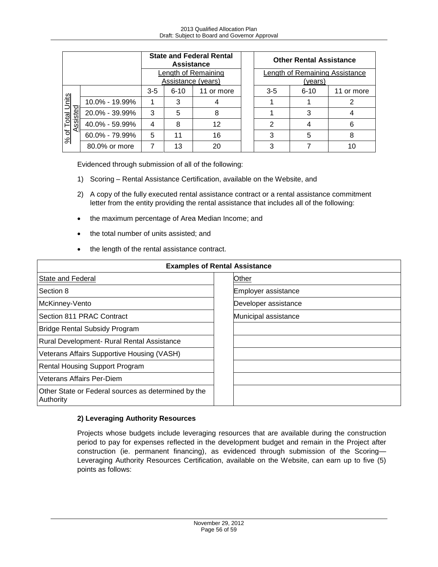|                                                                      |                | <b>State and Federal Rental</b><br><b>Assistance</b> |          |            | <b>Other Rental Assistance</b>            |          |            |
|----------------------------------------------------------------------|----------------|------------------------------------------------------|----------|------------|-------------------------------------------|----------|------------|
|                                                                      |                | Length of Remaining<br>Assistance (years)            |          |            | Length of Remaining Assistance<br>(vears) |          |            |
|                                                                      |                | $3 - 5$                                              | $6 - 10$ | 11 or more | $3 - 5$                                   | $6 - 10$ | 11 or more |
| $n$ its<br>$\frac{1}{2}$<br>Total<br><u>္တူ</u><br>$\frac{96}{6}$ of | 10.0% - 19.99% |                                                      | 3        |            |                                           |          |            |
|                                                                      | 20.0% - 39.99% | 3                                                    | 5        | 8          |                                           | 3        |            |
|                                                                      | 40.0% - 59.99% | 4                                                    | 8        | 12         | 2                                         |          | 6          |
|                                                                      | 60.0% - 79.99% | 5                                                    | 11       | 16         | 3                                         | 5        | 8          |
|                                                                      | 80.0% or more  | 7                                                    | 13       | 20         | 3                                         |          |            |

Evidenced through submission of all of the following:

- 1) Scoring Rental Assistance Certification, available on the Website, and
- 2) A copy of the fully executed rental assistance contract or a rental assistance commitment letter from the entity providing the rental assistance that includes all of the following:
- the maximum percentage of Area Median Income; and
- the total number of units assisted; and
- the length of the rental assistance contract.

| <b>Examples of Rental Assistance</b>                             |                      |  |  |
|------------------------------------------------------------------|----------------------|--|--|
| State and Federal                                                | Other                |  |  |
| Section 8                                                        | Employer assistance  |  |  |
| McKinney-Vento                                                   | Developer assistance |  |  |
| Section 811 PRAC Contract                                        | Municipal assistance |  |  |
| <b>Bridge Rental Subsidy Program</b>                             |                      |  |  |
| Rural Development- Rural Rental Assistance                       |                      |  |  |
| Veterans Affairs Supportive Housing (VASH)                       |                      |  |  |
| <b>Rental Housing Support Program</b>                            |                      |  |  |
| Veterans Affairs Per-Diem                                        |                      |  |  |
| Other State or Federal sources as determined by the<br>Authority |                      |  |  |

### **2) Leveraging Authority Resources**

Projects whose budgets include leveraging resources that are available during the construction period to pay for expenses reflected in the development budget and remain in the Project after construction (ie. permanent financing), as evidenced through submission of the Scoring— Leveraging Authority Resources Certification, available on the Website, can earn up to five (5) points as follows: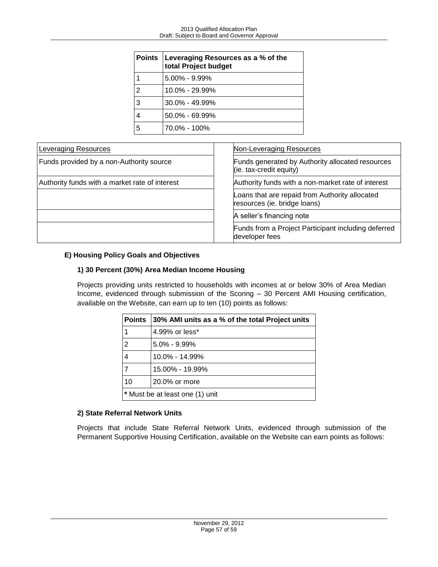|   | Points   Leveraging Resources as a % of the<br>total Project budget |
|---|---------------------------------------------------------------------|
|   | $5.00\% - 9.99\%$                                                   |
| 2 | 10.0% - 29.99%                                                      |
| 3 | $30.0\% - 49.99\%$                                                  |
|   | $50.0\% - 69.99\%$                                                  |
| 5 | 70.0% - 100%                                                        |

| <b>Leveraging Resources</b>                    | <b>Non-Leveraging Resources</b>                                                |
|------------------------------------------------|--------------------------------------------------------------------------------|
| Funds provided by a non-Authority source       | Funds generated by Authority allocated resources<br>(ie. tax-credit equity)    |
| Authority funds with a market rate of interest | Authority funds with a non-market rate of interest                             |
|                                                | Loans that are repaid from Authority allocated<br>resources (ie. bridge loans) |
|                                                | A seller's financing note                                                      |
|                                                | Funds from a Project Participant including deferred<br>developer fees          |

# <span id="page-56-0"></span>**E) Housing Policy Goals and Objectives**

### **1) 30 Percent (30%) Area Median Income Housing**

Projects providing units restricted to households with incomes at or below 30% of Area Median Income, evidenced through submission of the Scoring – 30 Percent AMI Housing certification, available on the Website, can earn up to ten (10) points as follows:

| <b>Points</b>                   | 30% AMI units as a % of the total Project units |  |
|---------------------------------|-------------------------------------------------|--|
| 1                               | 4.99% or less*                                  |  |
| $\overline{2}$                  | $5.0\% - 9.99\%$                                |  |
| 4                               | $10.0\% - 14.99\%$                              |  |
| $\overline{7}$                  | 15.00% - 19.99%                                 |  |
| 10                              | 20.0% or more                                   |  |
| * Must be at least one (1) unit |                                                 |  |

### **2) State Referral Network Units**

Projects that include State Referral Network Units, evidenced through submission of the Permanent Supportive Housing Certification, available on the Website can earn points as follows: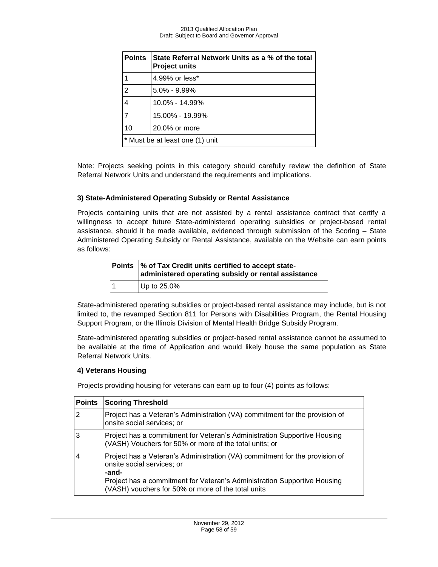| <b>Points</b>                   | State Referral Network Units as a % of the total<br><b>Project units</b> |  |
|---------------------------------|--------------------------------------------------------------------------|--|
| 1                               | 4.99% or less*                                                           |  |
| $\overline{2}$                  | $5.0\% - 9.99\%$                                                         |  |
| 4                               | $10.0\% - 14.99\%$                                                       |  |
| $\overline{7}$                  | 15.00% - 19.99%                                                          |  |
| 10                              | 20.0% or more                                                            |  |
| * Must be at least one (1) unit |                                                                          |  |

Note: Projects seeking points in this category should carefully review the definition of State Referral Network Units and understand the requirements and implications.

# **3) State-Administered Operating Subsidy or Rental Assistance**

Projects containing units that are not assisted by a rental assistance contract that certify a willingness to accept future State-administered operating subsidies or project-based rental assistance, should it be made available, evidenced through submission of the Scoring – State Administered Operating Subsidy or Rental Assistance, available on the Website can earn points as follows:

|   | Points  % of Tax Credit units certified to accept state-<br>administered operating subsidy or rental assistance |
|---|-----------------------------------------------------------------------------------------------------------------|
| 1 | Up to 25.0%                                                                                                     |

State-administered operating subsidies or project-based rental assistance may include, but is not limited to, the revamped Section 811 for Persons with Disabilities Program, the Rental Housing Support Program, or the Illinois Division of Mental Health Bridge Subsidy Program.

State-administered operating subsidies or project-based rental assistance cannot be assumed to be available at the time of Application and would likely house the same population as State Referral Network Units.

### **4) Veterans Housing**

Projects providing housing for veterans can earn up to four (4) points as follows:

| <b>Points</b> | <b>Scoring Threshold</b>                                                                                                                                                                                                                             |
|---------------|------------------------------------------------------------------------------------------------------------------------------------------------------------------------------------------------------------------------------------------------------|
| 2             | Project has a Veteran's Administration (VA) commitment for the provision of<br>onsite social services; or                                                                                                                                            |
| 3             | Project has a commitment for Veteran's Administration Supportive Housing<br>(VASH) Vouchers for 50% or more of the total units; or                                                                                                                   |
|               | Project has a Veteran's Administration (VA) commitment for the provision of<br>onsite social services; or<br>-and-<br>Project has a commitment for Veteran's Administration Supportive Housing<br>(VASH) vouchers for 50% or more of the total units |